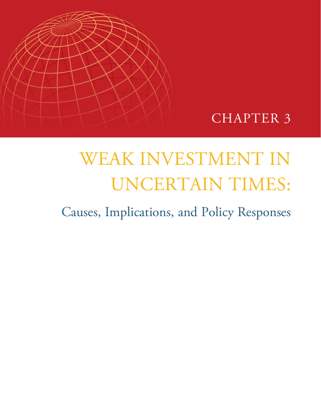



# WEAK INVESTMENT IN UNCERTAIN TIMES:

Causes, Implications, and Policy Responses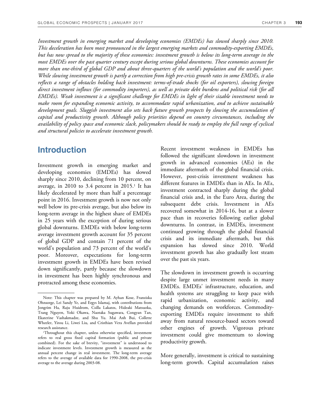*Investment growth in emerging market and developing economies (EMDEs) has slowed sharply since 2010. This deceleration has been most pronounced in the largest emerging markets and commodity-exporting EMDEs, but has now spread to the majority of these economies: investment growth is below its long-term average in the most EMDEs over the past quarter century except during serious global downturns. These economies account for more than one-third of global GDP and about three-quarters of the world's population and the world's poor. While slowing investment growth is partly a correction from high pre-crisis growth rates in some EMDEs, it also reflects a range of obstacles holding back investment: terms-of-trade shocks (for oil exporters), slowing foreign direct investment inflows (for commodity importers), as well as private debt burdens and political risk (for all EMDEs). Weak investment is a significant challenge for EMDEs in light of their sizable investment needs to make room for expanding economic activity, to accommodate rapid urbanization, and to achieve sustainable development goals. Sluggish investment also sets back future growth prospects by slowing the accumulation of capital and productivity growth. Although policy priorities depend on country circumstances, including the availability of policy space and economic slack, policymakers should be ready to employ the full range of cyclical and structural policies to accelerate investment growth.* 

# **Introduction**

Investment growth in emerging market and developing economies (EMDEs) has slowed sharply since 2010, declining from 10 percent, on average, in 2010 to 3.4 percent in 2015.<sup>1</sup> It has likely decelerated by more than half a percentage point in 2016. Investment growth is now not only well below its pre-crisis average, but also below its long-term average in the highest share of EMDEs in 25 years with the exception of during serious global downturns. EMDEs with below long-term average investment growth account for 35 percent of global GDP and contain 71 percent of the world's population and 73 percent of the world's poor. Moreover, expectations for long-term investment growth in EMDEs have been revised down significantly, partly because the slowdown in investment has been highly synchronous and protracted among these economies.

Recent investment weakness in EMDEs has followed the significant slowdown in investment growth in advanced economies (AEs) in the immediate aftermath of the global financial crisis. However, post-crisis investment weakness has different features in EMDEs than in AEs. In AEs, investment contracted sharply during the global financial crisis and, in the Euro Area, during the subsequent debt crisis. Investment in AEs recovered somewhat in 2014-16, but at a slower pace than in recoveries following earlier global downturns. In contrast, in EMDEs, investment continued growing through the global financial crisis and its immediate aftermath, but this expansion has slowed since 2010. World investment growth has also gradually lost steam over the past six years.

The slowdown in investment growth is occurring despite large unmet investment needs in many EMDEs. EMDEs' infrastructure, education, and health systems are struggling to keep pace with rapid urbanization, economic activity, and changing demands on workforces. Commodityexporting EMDEs require investment to shift away from natural resource-based sectors toward other engines of growth. Vigorous private investment could give momentum to slowing productivity growth.

More generally, investment is critical to sustaining long-term growth. Capital accumulation raises

Note: This chapter was prepared by M. Ayhan Kose, Franziska Ohnsorge, Lei Sandy Ye, and Ergys Islamaj, with contributions from Jongrim Ha, Raju Huidrom, Csilla Lakatos, Hideaki Matsuoka, Trang Nguyen, Yoki Okawa, Naotaka Sugawara, Congyan Tan, Ekaterine Vashakmadze, and Shu Yu. Mai Anh Bui, Collette Wheeler, Yirou Li, Liwei Liu, and Cristhian Vera Avellan provided research assistance.

<sup>1</sup>Throughout this chapter, unless otherwise specified, investment refers to real gross fixed capital formation (public and private combined). For the sake of brevity, "investment" is understood to indicate investment levels. Investment growth is measured as the annual percent change in real investment. The long-term average refers to the average of available data for 1990-2008, the pre-crisis average to the average during 2003-08.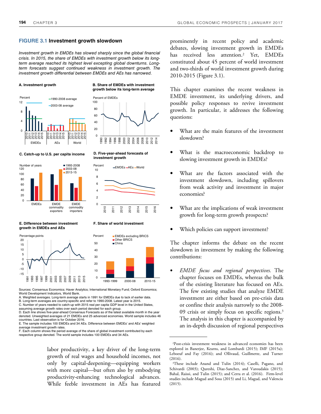#### **FIGURE 3.1 Investment growth slowdown**

Investment growth in EMDEs has slowed sharply since the global financial crisis. In 2015, the share of EMDEs with investment growth below its longterm average reached its highest level excepting global downturns. Longterm forecasts suggest continued weakness in investment growth. The investment growth differential between EMDEs and AEs has narrowed.

#### **A. Investment growth**





**B. Share of EMDEs with investment growth below its long-term average**

Percent of EMDEs

#### **C. Catch-up to U.S. per capita income**



**D. Five-year-ahead forecasts of investment growth**



#### **E. Difference between investment F. Share of world investment growth in EMDEs and AEs**





Sources: Consensus Economics; Haver Analytics; International Monetary Fund; Oxford Economics; World Development Indicators, World Bank.

labor productivity, a key driver of the long-term growth of real wages and household incomes, not only by capital-deepening—equipping workers with more capital—but often also by embodying productivity-enhancing technological advances. While feeble investment in AEs has featured

prominently in recent policy and academic debates, slowing investment growth in EMDEs has received less attention.<sup>2</sup> Yet, EMDEs constituted about 45 percent of world investment and two-thirds of world investment growth during 2010-2015 (Figure 3.1).

This chapter examines the recent weakness in EMDE investment, its underlying drivers, and possible policy responses to revive investment growth. In particular, it addresses the following questions:

- What are the main features of the investment slowdown?
- What is the macroeconomic backdrop to slowing investment growth in EMDEs?
- What are the factors associated with the investment slowdown, including spillovers from weak activity and investment in major economies?
- What are the implications of weak investment growth for long-term growth prospects?
- Which policies can support investment?

The chapter informs the debate on the recent slowdown in investment by making the following contributions:

• *EMDE focus and regional perspectives.* The chapter focuses on EMDEs, whereas the bulk of the existing literature has focused on AEs. The few existing studies that analyze EMDE investment are either based on pre-crisis data or confine their analysis narrowly to the 2008- 09 crisis or simply focus on specific regions.<sup>3</sup> The analysis in this chapter is accompanied by an in-depth discussion of regional perspectives

A. Weighted averages. Long-term average starts in 1991 for EMDEs due to lack of earlier data.

B. Long-term averages are country-specific and refer to 1990-2008. Latest year is 2015. C. Number of years needed to catch-up with 2015 real per capita GDP level in the United States, assuming average growth rates over each period denoted for each group.

D. Each line shows five-year-ahead Consensus Forecasts as of the latest available month in the year

denoted. Unweighted averages of 21 EMDEs and 25 advanced economies. World sample includes 46 countries. Last observation is for October 2016. E. The sample includes 100 EMDEs and 34 AEs. Difference between EMDEs' and AEs' weighted

average investment growth rates.

F. Each column shows the period average of the share of global investment contributed by each respective group denoted. The world sample includes 100 EMDEs and 34 AEs.

<sup>2</sup>Post-crisis investment weakness in advanced economies has been explored in Banerjee, Kearns, and Lombardi (2015); IMF (2015a); Leboeuf and Fay (2016); and Ollivaud, Guillmette, and Turner  $(2016).$ 

<sup>3</sup>These include Anand and Tulin (2014); Caselli, Pagano, and Schivardi (2003); Qureshi, Diaz-Sanchez, and Varoudakis (2015); Bahal, Raissi, and Tulin (2015); and Cerra et al. (2016). Firm-level studies include Magud and Sosa (2015) and Li, Magud, and Valencia (2015).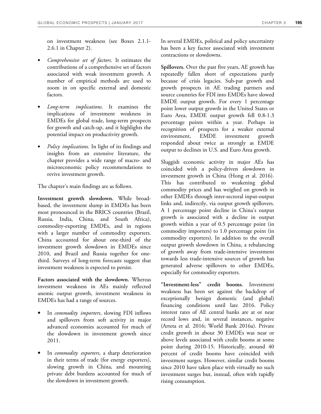on investment weakness (see Boxes 2.1.1- 2.6.1 in Chapter 2).

- *Comprehensive set of factors.* It estimates the contributions of a comprehensive set of factors associated with weak investment growth. A number of empirical methods are used to zoom in on specific external and domestic factors.
- *Long-term implications.* It examines the implications of investment weakness in EMDEs for global trade, long-term prospects for growth and catch-up, and it highlights the potential impact on productivity growth.
- *Policy implications.* In light of its findings and insights from an extensive literature, the chapter provides a wide range of macro- and microeconomic policy recommendations to revive investment growth.

The chapter's main findings are as follows.

**Investment growth slowdown.** While broadbased, the investment slump in EMDEs has been most pronounced in the BRICS countries (Brazil, Russia, India, China, and South Africa), commodity-exporting EMDEs, and in regions with a larger number of commodity exporters. China accounted for about one-third of the investment growth slowdown in EMDEs since 2010, and Brazil and Russia together for onethird. Surveys of long-term forecasts suggest that investment weakness is expected to persist.

**Factors associated with the slowdown.** Whereas investment weakness in AEs mainly reflected anemic output growth, investment weakness in EMDEs has had a range of sources.

- In *commodity importers*, slowing FDI inflows and spillovers from soft activity in major advanced economies accounted for much of the slowdown in investment growth since 2011.
- In *commodity exporters*, a sharp deterioration in their terms of trade (for energy exporters), slowing growth in China, and mounting private debt burdens accounted for much of the slowdown in investment growth.

In several EMDEs, political and policy uncertainty has been a key factor associated with investment contractions or slowdowns.

**Spillovers.** Over the past five years, AE growth has repeatedly fallen short of expectations partly because of crisis legacies. Sub-par growth and growth prospects in AE trading partners and source countries for FDI into EMDEs have slowed EMDE output growth. For every 1 percentage point lower output growth in the United States or Euro Area, EMDE output growth fell 0.8-1.3 percentage points within a year. Perhaps in recognition of prospects for a weaker external environment, EMDE investment growth responded about twice as strongly as EMDE output to declines in U.S. and Euro Area growth.

Sluggish economic activity in major AEs has coincided with a policy-driven slowdown in investment growth in China (Hong et al. 2016). This has contributed to weakening global commodity prices and has weighed on growth in other EMDEs through inter-sectoral input-output links and, indirectly, via output growth spillovers. A 1 percentage point decline in China's output growth is associated with a decline in output growth within a year of 0.5 percentage point (in commodity importers) to 1.0 percentage point (in commodity exporters). In addition to the overall output growth slowdown in China, a rebalancing of growth away from trade-intensive investment towards less trade-intensive sources of growth has generated adverse spillovers to other EMDEs, especially for commodity exporters.

**"Investment-less" credit booms.** Investment weakness has been set against the backdrop of exceptionally benign domestic (and global) financing conditions until late 2016. Policy interest rates of AE central banks are at or near record lows and, in several instances, negative (Arteta et al. 2016; World Bank 2016a). Private credit growth in about 30 EMDEs was near or above levels associated with credit booms at some point during 2010-15. Historically, around 40 percent of credit booms have coincided with investment surges. However, similar credit booms since 2010 have taken place with virtually no such investment surges but, instead, often with rapidly rising consumption.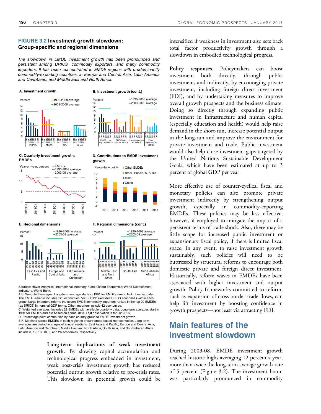#### **FIGURE 3.2 Investment growth slowdown: Group-specific and regional dimensions**

The slowdown in EMDE investment growth has been pronounced and persistent among BRICS, commodity exporters, and many commodity importers. It has been concentrated in EMDE regions with predominantly commodity-exporting countries, in Europe and Central Asia, Latin America and Caribbean, and Middle East and North Africa.



Indicators, World Bank. A.B. Weighted averages. Long-term average starts in 1991 for EMDEs due to lack of earlier data. The EMDE sample includes 126 economies. "ex BRICS" excludes BRICS economies within each

group. Large importers refer to the seven EMDE commodity importers ranked in the top 20 EMDEs (ex BRICS) in nominal GDP terms. Other importers include 42 economies. C. Weighted averages. Includes 28 EMDEs with available quarterly data. Long-term averages start in

1991 for EMDEs and are based on annual data. Last observation is for Q2 2016.

D. Percentage point contribution by each country group to EMDE investment growth.

E.F. Medians across EMDEs of each region to ensure broad-based representation. Long-term averages are period averages of annual medians. East Asia and Pacific, Europe and Central Asia, Latin America and Caribbean, Middle East and North Africa, South Asia, and Sub-Saharan Africa include 8, 12, 18, 10, 5, and 26 economies, respectively.

> **Long-term implications of weak investment growth.** By slowing capital accumulation and technological progress embedded in investment, weak post-crisis investment growth has reduced potential output growth relative to pre-crisis rates. This slowdown in potential growth could be

intensified if weakness in investment also sets back total factor productivity growth through a slowdown in embodied technological progress.

**Policy responses.** Policymakers can boost investment both directly, through public investment, and indirectly, by encouraging private investment, including foreign direct investment (FDI), and by undertaking measures to improve overall growth prospects and the business climate. Doing so directly through expanding public investment in infrastructure and human capital (especially education and health) would help raise demand in the short-run, increase potential output in the long-run and improve the environment for private investment and trade. Public investment would also help close investment gaps targeted by the United Nations Sustainable Development Goals, which have been estimated at up to 3 percent of global GDP per year.

More effective use of counter-cyclical fiscal and monetary policies can also promote private investment indirectly by strengthening output growth, especially in commodity-exporting EMDEs. These policies may be less effective, however, if employed to mitigate the impact of a persistent terms of trade shock. Also, there may be little scope for increased public investment or expansionary fiscal policy, if there is limited fiscal space. In any event, to raise investment growth sustainably, such policies will need to be buttressed by structural reforms to encourage both domestic private and foreign direct investment. Historically, reform waves in EMDEs have been associated with higher investment and output growth. Policy frameworks committed to reform, such as expansion of cross-border trade flows, can help lift investment by boosting confidence in growth prospects—not least via attracting FDI.

# **Main features of the investment slowdown**

During 2003-08, EMDE investment growth reached historic highs averaging 12 percent a year, more than twice the long-term average growth rate of 5 percent (Figure 3.2). The investment boom was particularly pronounced in commodity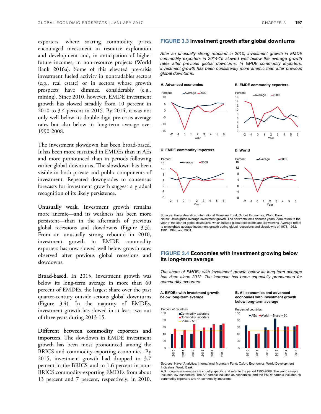exporters, where soaring commodity prices encouraged investment in resource exploration and development and, in anticipation of higher future incomes, in non-resource projects (World Bank 2016a). Some of this elevated pre-crisis investment fueled activity in nontradables sectors (e.g., real estate) or in sectors whose growth prospects have dimmed considerably (e.g., mining). Since 2010, however, EMDE investment growth has slowed steadily from 10 percent in 2010 to 3.4 percent in 2015. By 2014, it was not only well below its double-digit pre-crisis average rates but also below its long-term average over 1990-2008.

The investment slowdown has been broad-based. It has been more sustained in EMDEs than in AEs and more pronounced than in periods following earlier global downturns. The slowdown has been visible in both private and public components of investment. Repeated downgrades to consensus forecasts for investment growth suggest a gradual recognition of its likely persistence.

**Unusually weak.** Investment growth remains more anemic—and its weakness has been more persistent—than in the aftermath of previous global recessions and slowdowns (Figure 3.3). From an unusually strong rebound in 2010, investment growth in EMDE commodity exporters has now slowed well below growth rates observed after previous global recessions and slowdowns.

**Broad-based.** In 2015, investment growth was below its long-term average in more than 60 percent of EMDEs, the largest share over the past quarter-century outside serious global downturns (Figure 3.4). In the majority of EMDEs, investment growth has slowed in at least two out of three years during 2013-15.

**Different between commodity exporters and importers.** The slowdown in EMDE investment growth has been most pronounced among the BRICS and commodity-exporting economies. By 2015, investment growth had dropped to 3.7 percent in the BRICS and to 1.6 percent in non-BRICS commodity-exporting EMDEs from about 13 percent and 7 percent, respectively, in 2010.

#### **FIGURE 3.3 Investment growth after global downturns**

After an unusually strong rebound in 2010, investment growth in EMDE commodity exporters in 2014-15 slowed well below the average growth rates after previous global downturns. In EMDE commodity importers, investment growth has been consistently more anemic than after previous global downturns.



#### -8 -4  $\Omega$ 4 8 12 16 -2 -1 0 1 2 3 4 5 6 Year -8 -4  $\Omega$ 4 8 12 16 -2 -1 0 1 2 3 4 5 6 Year  $-Averane -2009$

Sources: Haver Analytics, International Monetary Fund, Oxford Economics, World Bank. Notes: Unweighted average investment growth. The horizontal axis denotes years. Zero refers to the year of the start of global downturns, which include global recessions and slowdowns. Average refers to unweighted average investment growth during global recessions and slowdowns of 1975, 1982, 1991, 1998, and 2001.

### **FIGURE 3.4 Economies with investment growing below its long-term average**

The share of EMDEs with investment growth below its long-term average has risen since 2012. The increase has been especially pronounced for commodity exporters.

**A. EMDEs with investment growth below long-term average** 





**below long-term average**  Percent of countries



Sources: Haver Analytics; International Monetary Fund; Oxford Economics; World Development Indicators, World Bank.

A.B. Long-term averages are country-specific and refer to the period 1990-2008. The world sample includes 157 economies. The AE sample includes 35 economies, and the EMDE sample includes 78 commodity exporters and 44 commodity importers.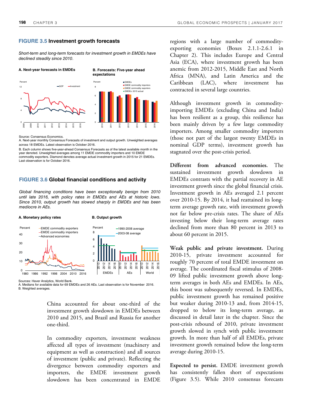#### **FIGURE 3.5 Investment growth forecasts**

Short-term and long-term forecasts for investment growth in EMDEs have declined steadily since 2010.



Source: Consensus Economics.

A. Next-year monthly Consensus Forecasts of investment and output growth. Unweighted averages across 18 EMDEs. Latest observation is October 2016.

B. Each column shows five-year-ahead Consensus Forecasts as of the latest available month in the year denoted. Unweighted averages among 11 EMDE commodity importers and 10 EMDE commodity exporters. Diamond denotes average actual investment growth in 2015 for 21 EMDEs. Last observation is for October 2016.

#### **FIGURE 3.6 Global financial conditions and activity**

Global financing conditions have been exceptionally benign from 2010 until late 2016, with policy rates in EMDEs and AEs at historic lows. Since 2010, output growth has slowed sharply in EMDEs and has been mediocre in AEs.



Sources: Haver Analytics, World Bank.

A. Medians for available data for 69 EMDEs and 26 AEs. Last observation is for November 2016. B. Weighted averages.

> China accounted for about one-third of the investment growth slowdown in EMDEs between 2010 and 2015, and Brazil and Russia for another one-third.

> In commodity exporters, investment weakness affected all types of investment (machinery and equipment as well as construction) and all sources of investment (public and private). Reflecting the divergence between commodity exporters and importers, the EMDE investment growth slowdown has been concentrated in EMDE

regions with a large number of commodityexporting economies (Boxes 2.1.1-2.6.1 in Chapter 2). This includes Europe and Central Asia (ECA), where investment growth has been anemic from 2012-2015, Middle East and North Africa (MNA), and Latin America and the Caribbean (LAC), where investment has contracted in several large countries.

Although investment growth in commodityimporting EMDEs (excluding China and India) has been resilient as a group, this resilience has been mainly driven by a few large commodity importers. Among smaller commodity importers (those not part of the largest twenty EMDEs in nominal GDP terms), investment growth has stagnated over the post-crisis period.

**Different from advanced economies.** The sustained investment growth slowdown in EMDEs contrasts with the partial recovery in AE investment growth since the global financial crisis. Investment growth in AEs averaged 2.1 percent over 2010-15. By 2014, it had reattained its longterm average growth rate, with investment growth not far below pre-crisis rates. The share of AEs investing below their long-term average rates declined from more than 80 percent in 2013 to about 60 percent in 2015.

**Weak public and private investment.** During 2010-15, private investment accounted for roughly 70 percent of total EMDE investment on average. The coordinated fiscal stimulus of 2008- 09 lifted public investment growth above longterm averages in both AEs and EMDEs. In AEs, this boost was subsequently reversed. In EMDEs, public investment growth has remained positive but weaker during 2010-13 and, from 2014-15, dropped to below its long-term average, as discussed in detail later in the chapter. Since the post-crisis rebound of 2010, private investment growth slowed in synch with public investment growth. In more than half of all EMDEs, private investment growth remained below the long-term average during 2010-15.

**Expected to persist.** EMDE investment growth has consistently fallen short of expectations (Figure 3.5). While 2010 consensus forecasts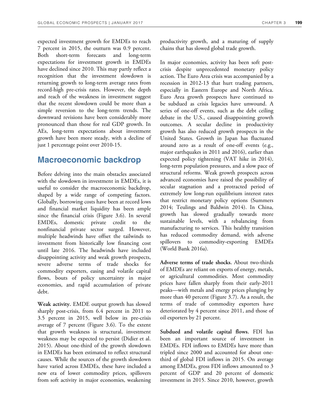expected investment growth for EMDEs to reach 7 percent in 2015, the outturn was 0.9 percent. Both short-term forecasts and long-term expectations for investment growth in EMDEs have declined since 2010. This may partly reflect a recognition that the investment slowdown is returning growth to long-term average rates from record-high pre-crisis rates. However, the depth and reach of the weakness in investment suggest that the recent slowdown could be more than a simple reversion to the long-term trends. The downward revisions have been considerably more pronounced than those for real GDP growth. In AEs, long-term expectations about investment growth have been more steady, with a decline of just 1 percentage point over 2010-15.

# **Macroeconomic backdrop**

Before delving into the main obstacles associated with the slowdown in investment in EMDEs, it is useful to consider the macroeconomic backdrop, shaped by a wide range of competing factors. Globally, borrowing costs have been at record lows and financial market liquidity has been ample since the financial crisis (Figure 3.6). In several EMDEs, domestic private credit to the nonfinancial private sector surged. However, multiple headwinds have offset the tailwinds to investment from historically low financing cost until late 2016. The headwinds have included disappointing activity and weak growth prospects, severe adverse terms of trade shocks for commodity exporters, easing and volatile capital flows, bouts of policy uncertainty in major economies, and rapid accumulation of private debt.

**Weak activity.** EMDE output growth has slowed sharply post-crisis, from 6.4 percent in 2011 to 3.5 percent in 2015, well below its pre-crisis average of 7 percent (Figure 3.6). To the extent that growth weakness is structural, investment weakness may be expected to persist (Didier et al. 2015). About one-third of the growth slowdown in EMDEs has been estimated to reflect structural causes. While the sources of the growth slowdown have varied across EMDEs, these have included a new era of lower commodity prices, spillovers from soft activity in major economies, weakening productivity growth, and a maturing of supply chains that has slowed global trade growth.

In major economies, activity has been soft postcrisis despite unprecedented monetary policy action. The Euro Area crisis was accompanied by a recession in 2012-13 that hurt trading partners, especially in Eastern Europe and North Africa. Euro Area growth prospects have continued to be subdued as crisis legacies have unwound. A series of one-off events, such as the debt ceiling debate in the U.S., caused disappointing growth outcomes. A secular decline in productivity growth has also reduced growth prospects in the United States. Growth in Japan has fluctuated around zero as a result of one-off events (e.g., major earthquakes in 2011 and 2016), earlier than expected policy tightening (VAT hike in 2014), long-term population pressures, and a slow pace of structural reforms. Weak growth prospects across advanced economies have raised the possibility of secular stagnation and a protracted period of extremely low long-run equilibrium interest rates that restrict monetary policy options (Summers 2014; Teulings and Baldwin 2014). In China, growth has slowed gradually towards more sustainable levels, with a rebalancing from manufacturing to services. This healthy transition has reduced commodity demand, with adverse spillovers to commodity-exporting EMDEs (World Bank 2016a).

**Adverse terms of trade shocks.** About two-thirds of EMDEs are reliant on exports of energy, metals, or agricultural commodities. Most commodity prices have fallen sharply from their early-2011 peaks—with metals and energy prices plunging by more than 40 percent (Figure 3.7). As a result, the terms of trade of commodity exporters have deteriorated by 4 percent since 2011, and those of oil exporters by 21 percent.

**Subdued and volatile capital flows.** FDI has been an important source of investment in EMDEs. FDI inflows to EMDEs have more than tripled since 2000 and accounted for about onethird of global FDI inflows in 2015. On average among EMDEs, gross FDI inflows amounted to 3 percent of GDP and 20 percent of domestic investment in 2015. Since 2010, however, growth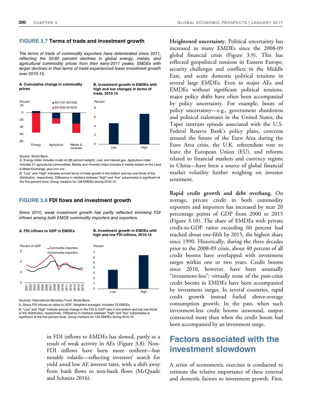#### **FIGURE 3.7 Terms of trade and investment growth**

The terms of trade of commodity exporters have deteriorated since 2011, reflecting the 30-60 percent declines in global energy, metals, and agricultural commodity prices from their early-2011 peaks. EMDEs with larger declines in their terms of trade experienced lower investment growth over 2010-15.



Source: World Bank.

A. Energy index includes crude oil (85 percent weight), coal, and natural gas. Agriculture index includes 21 agricultural commodities. Metals and minerals index includes 6 metals traded on the Land & Metal Exchange, plus iron ore.

B. "Low" and "High" indicates annual terms of trade growth in the bottom and top one-thirds of the distribution, respectively. Difference in medians between "high" and "low" subsamples is significant at the five percent level. Group medians for 108 EMDEs during 2010-15.

#### **FIGURE 3.8 FDI flows and investment growth**

Since 2010, weak investment growth has partly reflected shrinking FDI inflows among both EMDE commodity importers and exporters.



Sources: International Monetary Fund, World Bank.

A. Gross FDI inflows as ratios to GDP. Weighted averages. Includes 75 EMDEs.

B. "Low" and "High" indicate annual change in the FDI to GDP ratio in the bottom and top one-thirds of the distribution, respectively. Difference in medians between "high" and "low" subsamples is significant at the five percent level. Group medians for 120 EMDEs during 2010-15.

> in FDI inflows to EMDEs has slowed, partly as a result of weak activity in AEs (Figure 3.8). Non-FDI inflows have been more resilient—but notably volatile—reflecting investors' search for yield amid low AE interest rates, with a shift away from bank flows to non-bank flows (McQuade and Schmitz 2016).

**Heightened uncertainty.** Political uncertainty has increased in many EMDEs since the 2008-09 global financial crisis (Figure 3.9). This has reflected geopolitical tensions in Eastern Europe, security challenges and conflicts in the Middle East, and acute domestic political tensions in several large EMDEs. Even in major AEs and EMDEs without significant political tensions, major policy shifts have often been accompanied by policy uncertainty. For example, bouts of policy uncertainty—e.g., government shutdowns and political stalemates in the United States, the Taper tantrum episode associated with the U.S. Federal Reserve Bank's policy plans, concerns around the future of the Euro Area during the Euro Area crisis, the U.K. referendum vote to leave the European Union (EU), and reforms related to financial markets and currency regime in China—have been a source of global financial market volatility further weighing on investor sentiment.

**Rapid credit growth and debt overhang.** On average, private credit in both commodity exporters and importers has increased by near 20 percentage points of GDP from 2000 to 2015 (Figure 3.10). The share of EMDEs with private credit-to-GDP ratios exceeding 60 percent had reached about one-fifth by 2015, the highest share since 1990. Historically, during the three decades prior to the 2008-09 crisis, about 40 percent of all credit booms have overlapped with investment surges within one or two years. Credit booms since 2010, however, have been unusually "investment-less": virtually none of the post-crisis credit booms in EMDEs have been accompanied by investment surges. In several countries, rapid credit growth instead fueled above-average consumption growth. In the past, when such investment-less credit booms unwound, output contracted more than when the credit boom had been accompanied by an investment surge.

# **Factors associated with the investment slowdown**

A series of econometric exercises is conducted to estimate the relative importance of these external and domestic factors to investment growth. First,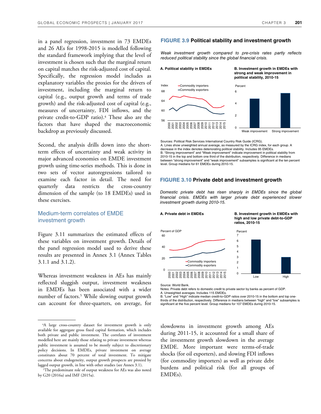in a panel regression, investment in 73 EMDEs and 26 AEs for 1998-2015 is modelled following the standard framework implying that the level of investment is chosen such that the marginal return on capital matches the risk-adjusted cost of capital. Specifically, the regression model includes as explanatory variables the proxies for the drivers of investment, including the marginal return to capital (e.g., output growth and terms of trade growth) and the risk-adjusted cost of capital (e.g., measures of uncertainty, FDI inflows, and the private credit-to-GDP ratio).<sup>4</sup> These also are the factors that have shaped the macroeconomic backdrop as previously discussed.

Second, the analysis drills down into the shortterm effects of uncertainty and weak activity in major advanced economies on EMDE investment growth using time-series methods. This is done in two sets of vector autoregressions tailored to examine each factor in detail. The need for quarterly data restricts the cross-country dimension of the sample (to 18 EMDEs) used in these exercises.

## Medium-term correlates of EMDE investment growth

Figure 3.11 summarizes the estimated effects of these variables on investment growth. Details of the panel regression model used to derive these results are presented in Annex 3.1 (Annex Tables 3.1.1 and 3.1.2).

Whereas investment weakness in AEs has mainly reflected sluggish output, investment weakness in EMDEs has been associated with a wider number of factors.<sup>5</sup> While slowing output growth can account for three-quarters, on average, for

## **FIGURE 3.9 Political stability and investment growth**

Weak investment growth compared to pre-crisis rates partly reflects reduced political stability since the global financial crisis.

**A. Political stability in EMDEs**

**B. Investment growth in EMDEs with strong and weak improvement in political stability, 2010-15**



Sources: Political Risk Services International Country Risk Guide (ICRG). A. Lines show unweighted annual average, as measured by the ICRG index, for each group. A decrease in the index denotes deteriorating political stability. Includes 95 EMDEs. B. "Strong improvement" and "Weak improvement" indicate improvement in political stability from 2010-15 in the top and bottom one third of the distribution, respectively. Difference in medians between "strong improvement" and "weak improvement" subsamples is significant at the ten percent level. Group medians for 61 EMDEs during 2010-15.

#### **FIGURE 3.10 Private debt and investment growth**

Domestic private debt has risen sharply in EMDEs since the global financial crisis. EMDEs with larger private debt experienced slower investment growth during 2010-15.



Source: World Bank.

Notes: Private debt refers to domestic credit to private sector by banks as percent of GDP. A. Unweighted averages. Includes 115 EMDEs.

B. "Low" and "High" indicate median credit-to-GDP ratios over 2010-15 in the bottom and top onethirds of the distribution, respectively. Difference in medians between "high" and "low" subsamples is significant at the five percent level. Group medians for 107 EMDEs during 2010-15.

slowdowns in investment growth among AEs during 2011-15, it accounted for a small share of the investment growth slowdown in the average EMDE. More important were terms-of-trade shocks (for oil exporters), and slowing FDI inflows (for commodity importers) as well as private debt burdens and political risk (for all groups of EMDEs).

<sup>4</sup>A large cross-country dataset for investment growth is only available for aggregate gross fixed capital formation, which includes both private and public investment. The correlates of investment modelled here are mainly those relating to private investment whereas public investment is assumed to be mostly subject to discretionary policy decisions. In EMDEs, private investment on average constitutes about 70 percent of total investment. To mitigate concerns about endogeneity, output growth prospects are proxied by lagged output growth, in line with other studies (see Annex 3.1)**.** 

<sup>5</sup>The predominant role of output weakness for AEs was also noted by G20 (2016a) and IMF (2015a).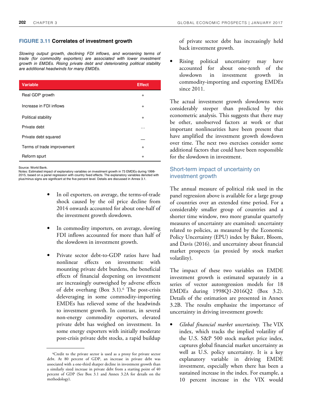#### **FIGURE 3.11 Correlates of investment growth**

Slowing output growth, declining FDI inflows, and worsening terms of trade (for commodity exporters) are associated with lower investment growth in EMDEs. Rising private debt and deteriorating political stability are additional headwinds for many EMDEs.

| <b>Variable</b>            | <b>Effect</b> |
|----------------------------|---------------|
| Real GDP growth            | $\ddot{}$     |
| Increase in FDI inflows    | $\ddot{}$     |
| Political stability        | $\ddot{}$     |
| Private debt               | .             |
| Private debt squared       |               |
| Terms of trade improvement | $\ddot{}$     |
| Reform spurt               | $\ddot{}$     |

Source: World Bank.

Notes: Estimated impact of explanatory variables on investment growth in 73 EMDEs during 1998- 2015, based on a panel regression with country fixed effects. The explanatory variables denoted with plus/minus signs are significant at the five percent level. Details are discussed in Annex 3.1.

- In oil exporters, on average, the terms-of-trade shock caused by the oil price decline from 2014 onwards accounted for about one-half of the investment growth slowdown.
- In commodity importers, on average, slowing FDI inflows accounted for more than half of the slowdown in investment growth.
- Private sector debt-to-GDP ratios have had nonlinear effects on investment: with mounting private debt burdens, the beneficial effects of financial deepening on investment are increasingly outweighed by adverse effects of debt overhang (Box 3.1).<sup>6</sup> The post-crisis deleveraging in some commodity-importing EMDEs has relieved some of the headwinds to investment growth. In contrast, in several non-energy commodity exporters, elevated private debt has weighed on investment. In some energy exporters with initially moderate post-crisis private debt stocks, a rapid buildup

of private sector debt has increasingly held back investment growth.

Rising political uncertainty may have accounted for about one-tenth of the slowdown in investment growth in commodity-importing and exporting EMDEs since 2011.

The actual investment growth slowdowns were considerably steeper than predicted by this econometric analysis. This suggests that there may be other, unobserved factors at work or that important nonlinearities have been present that have amplified the investment growth slowdown over time. The next two exercises consider some additional factors that could have been responsible for the slowdown in investment.

# Short-term impact of uncertainty on investment growth

The annual measure of political risk used in the panel regression above is available for a large group of countries over an extended time period. For a considerably smaller group of countries and a shorter time window, two more granular quarterly measures of uncertainty are examined: uncertainty related to policies, as measured by the Economic Policy Uncertainty (EPU) index by Baker, Bloom, and Davis (2016), and uncertainty about financial market prospects (as proxied by stock market volatility).

The impact of these two variables on EMDE investment growth is estimated separately in a series of vector autoregression models for 18 EMDEs during 1998Q1-2016Q2 (Box 3.2). Details of the estimation are presented in Annex 3.2B. The results emphasize the importance of uncertainty in driving investment growth:

• *Global financial market uncertainty.* The VIX index, which tracks the implied volatility of the U.S. S&P 500 stock market price index, captures global financial market uncertainty as well as U.S. policy uncertainty. It is a key explanatory variable in driving EMDE investment, especially when there has been a sustained increase in the index. For example, a 10 percent increase in the VIX would

<sup>6</sup>Credit to the private sector is used as a proxy for private sector debt. At 80 percent of GDP, an increase in private debt was associated with a one-third sharper decline in investment growth than a similarly sized increase in private debt from a starting point of 40 percent of GDP (See Box 3.1 and Annex 3.2A for details on the methodology).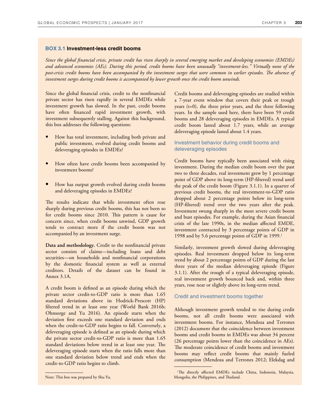#### **BOX 3.1 Investment-less credit booms**

*Since the global 2nancial crisis, private credit has risen sharply in several emerging market and developing economies (EMDEs) and advanced economies (AEs). During this period, credit booms have been unusually "investment-less." Virtually none of the*  post-crisis credit booms have been accompanied by the investment surges that were common in earlier episodes. The absence of *investment surges during credit booms is accompanied by lower growth once the credit boom unwinds.* 

Since the global financial crisis, credit to the nonfinancial private sector has risen rapidly in several EMDEs while investment growth has slowed. In the past, credit booms have often financed rapid investment growth, with investment subsequently stalling. Against this background, this box addresses the following questions:

- How has total investment, including both private and public investment, evolved during credit booms and deleveraging episodes in EMDEs?
- How often have credit booms been accompanied by investment booms?
- How has output growth evolved during credit booms and deleveraging episodes in EMDEs?

The results indicate that while investment often rose sharply during previous credit booms, this has not been so for credit booms since 2010. Mis pattern is cause for concern since, when credit booms unwind, GDP growth tends to contract more if the credit boom was not accompanied by an investment surge.

**Data and methodology.** Credit to the nonfinancial private sector consists of claims—including loans and debt securities—on households and nonfinancial corporations by the domestic financial system as well as external creditors. Details of the dataset can be found in Annex 3.1A.

A credit boom is defined as an episode during which the private sector credit-to-GDP ratio is more than 1.65 standard deviations above its Hodrick-Prescott (HP) filtered trend in at least one year (World Bank 2016b; Ohnsorge and Yu 2016). An episode starts when the deviation first exceeds one standard deviation and ends when the credit-to-GDP ratio begins to fall. Conversely, a deleveraging episode is defined as an episode during which the private sector credit-to-GDP ratio is more than 1.65 standard deviations below trend in at least one year. Me deleveraging episode starts when the ratio falls more than one standard deviation below trend and ends when the credit-to-GDP ratio begins to climb.

Credit booms and deleveraging episodes are studied within a 7-year event window that covers their peak or trough years (t=0), the three prior years, and the three following years. In the sample used here, there have been 59 credit booms and 28 deleveraging episodes in EMDEs. A typical credit boom lasted about 1.7 years, while an average deleveraging episode lasted about 1.4 years.

### Investment behavior during credit booms and deleveraging episodes

Credit booms have typically been associated with rising investment. During the median credit boom over the past two to three decades, real investment grew by 1 percentage point of GDP above its long-term (HP-filtered) trend until the peak of the credit boom (Figure 3.1.1). In a quarter of previous credit booms, the real investment-to-GDP ratio dropped about 2 percentage points below its long-term (HP-filtered) trend over the two years after the peak. Investment swung sharply in the most severe credit boom and bust episodes. For example, during the Asian financial crisis of the late 1990s, in the median affected EMDE, investment contracted by 3 percentage points of GDP in 1998 and by 5.6 percentage points of GDP in 1999.<sup>1</sup>

Similarly, investment growth slowed during deleveraging episodes. Real investment dropped below its long-term trend by about 2 percentage points of GDP during the last three years of the median deleveraging episode (Figure 3.1.1). After the trough of a typical deleveraging episode, real investment growth bounced back and, within three years, rose near or slightly above its long-term trend.

#### Credit and investment booms together

Although investment growth tended to rise during credit booms, not all credit booms were associated with investment booms. For instance, Mendoza and Terrones (2012) document that the coincidence between investment booms and credit booms in EMDEs was about 34 percent (26 percentage points lower than the coincidence in AEs). The moderate coincidence of credit booms and investment booms may reflect credit booms that mainly fueled consumption (Mendoza and Terrones 2012; Elekdag and

<sup>&</sup>lt;sup>1</sup>The directly affected EMDEs include China, Indonesia, Malaysia, Note: This box was prepared by Shu Yu. Mongolia, the Philippines, and Thailand.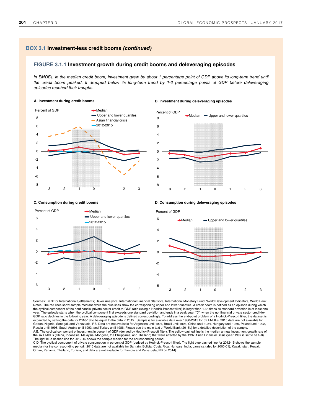## **BOX 3.1 Investment-less credit booms (continued)**

#### **FIGURE 3.1.1 Investment growth during credit booms and deleveraging episodes**

In EMDEs, in the median credit boom, investment grew by about 1 percentage point of GDP above its long-term trend until the credit boom peaked. It dropped below its long-term trend by 1-2 percentage points of GDP before deleveraging episodes reached their troughs.

### **A. Investment during credit booms B. Investment during deleveraging episodes**  -8 -6 -4 -2  $\Omega$ 2 4 6 8 -3 -2 -1 0 1 2 3 **→**Median Upper and lower quartiles Asian financial crisis 2012-2015 Percent of GDP





-6 -4 -2 0 2 4 6 -3 -2 -1 0 1 2 3 **Median Upper and lower quartiles** 2012-2015 Percent of GDP -6 -4 -2  $\Omega$  $\overline{2}$ 4 6 -3 -2 -1 0 1 2 3 ←Median – Upper and lower quartiles Percent of GDP

**C. Consumption during credit booms D. Consumption during deleveraging episodes** 

Sources: Bank for International Settlements; Haver Analytics; International Financial Statistics, International Monetary Fund; World Development Indicators, World Bank.<br>Notes. The red lines show sample medians while the bl the cyclical component of the nonfinancial private sector credit-to-GDP ratio (using a Hodrick-Prescott filter) is larger than 1.65 times its standard deviation in at least one ear. The episode starts when the cyclical component first exceeds one standard deviation and ends in a peak year ("0") when the nonfinancial private sector credit-toyear. The episode starts when the cyclical component instructions of example of a discussion of a point problem of a Hodrick-Prescott filter, the dataset is<br>GDP ratio declines in the following year. A deleveraging episode expanded by setting the data for 2016-18 to be equal to the data in 2015. Sample is for available data over 1980-2015 for 55 EMDEs. 2015 data are not available for Gabon, Nigeria, Senegal, and Venezuela, RB. Data are not available for Argentina until 1994, Brazil until 1993, China until 1984, Hungary until 1989, Poland until 1992, Russia until 1995, Saudi Arabia until 1993, and Turkey until 1986. Please see the main text of World Bank (2016b) for a detailed description of the sample.<br>A.B. The cyclical component of investment in percent of GDP (deriv the six EMDEs (China, Indonesia, Malaysia, Mongolia, the Philippines, and Thailand) that were affected by the 1997 Asian Financial Crisis (year 1997 is set to be t=0).

The light blue dashed line for 2012-15 shows the sample median for the corresponding period.<br>C.D. The cyclical component of private consumption in percent of GDP (derived by Hodrick-Prescott filter). The light blue dashed median for the corresponding period. 2015 data are not available for Bahrain, Bolivia, Costa Rica, Hungary, India, Jamaica (also for 2000-01), Kazakhstan, Kuwait, Oman, Panama, Thailand, Tunisia, and data are not available for Zambia and Venezuela, RB (in 2014).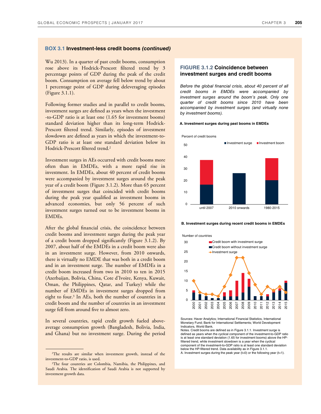#### **BOX 3.1 Investment-less credit booms (continued)**

Wu 2013). In a quarter of past credit booms, consumption rose above its Hodrick-Prescott filtered trend by 3 percentage points of GDP during the peak of the credit boom. Consumption on average fell below trend by about 1 percentage point of GDP during deleveraging episodes (Figure 3.1.1).

Following former studies and in parallel to credit booms, investment surges are defined as years when the investment -to-GDP ratio is at least one (1.65 for investment booms) standard deviation higher than its long-term Hodrick-Prescott filtered trend. Similarly, episodes of investment slowdown are defined as years in which the investment-to-GDP ratio is at least one standard deviation below its Hodrick-Prescott filtered trend.<sup>2</sup>

Investment surges in AEs occurred with credit booms more often than in EMDEs, with a more rapid rise in investment. In EMDEs, about 40 percent of credit booms were accompanied by investment surges around the peak year of a credit boom (Figure 3.1.2). More than 65 percent of investment surges that coincided with credit booms during the peak year qualified as investment booms in advanced economies, but only 56 percent of such investment surges turned out to be investment booms in EMDEs.

After the global financial crisis, the coincidence between credit booms and investment surges during the peak year of a credit boom dropped significantly (Figure 3.1.2). By 2007, about half of the EMDEs in a credit boom were also in an investment surge. However, from 2010 onwards, there is virtually no EMDE that was both in a credit boom and in an investment surge. The number of EMDEs in a credit boom increased from two in 2010 to ten in 2015 (Azerbaijan, Bolivia, China, Cote d'Ivoire, Kenya, Kuwait, Oman, the Philippines, Qatar, and Turkey) while the number of EMDEs in investment surges dropped from eight to four.<sup>3</sup> In AEs, both the number of countries in a credit boom and the number of countries in an investment surge fell from around five to almost zero.

In several countries, rapid credit growth fueled aboveaverage consumption growth (Bangladesh, Bolivia, India, and Ghana) but no investment surge. During the period

#### **FIGURE 3.1.2 Coincidence between investment surges and credit booms**

Before the global financial crisis, about 40 percent of all credit booms in EMDEs were accompanied by investment surges around the boom's peak. Only one quarter of credit booms since 2010 have been accompanied by investment surges (and virtually none by investment booms).

#### **A. Investment surges during past booms in EMDEs**



#### **B. Investment surges during recent credit booms in EMDEs**



Sources: Haver Analytics; International Financial Statistics, International Monetary Fund; Bank for International Settlements; World Development Indicators, World Bank.

Notes. Credit booms are defined as in Figure 3.1.1. Investment surge is defined as years when the cyclical component of the investment-to-GDP ratio is at least one standard deviation (1.65 for investment booms) above the HPfiltered trend, while investment slowdown is a year when the cyclical component of the investment-to-GDP ratio is at least one standard deviation below the HP-filtered trend. Data availability as in Figure 3.1.1. A. Investment surges during the peak year  $(t=0)$  or the following year  $(t=1)$ .

<sup>2</sup>The results are similar when investment growth, instead of the investment-to-GDP ratio, is used.

<sup>3</sup>The four countries are Colombia, Namibia, the Philippines, and Saudi Arabia. The identification of Saudi Arabia is not supported by investment growth data.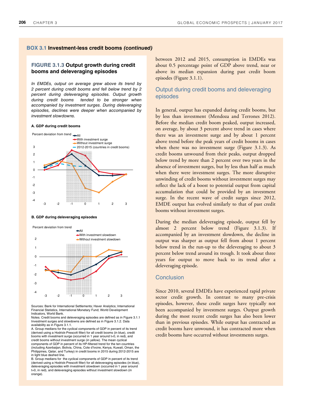#### **BOX 3.1 Investment-less credit booms (continued)**

#### **FIGURE 3.1.3 Output growth during credit booms and deleveraging episodes**

In EMDEs, output on average grew above its trend by 2 percent during credit booms and fell below trend by 2 percent during deleveraging episodes. Output growth during credit booms tended to be stronger when accompanied by investment surges. During deleveraging episodes, declines were deeper when accompanied by investment slowdowns.

#### **A. GDP during credit booms**



#### **B. GDP during deleveraging episodes**



Sources: Bank for International Settlements; Haver Analytics; International Financial Statistics, International Monetary Fund; World Development Indicators, World Bank.

Notes. Credit booms and deleveraging episodes are defined as in Figure 3.1.1 Investment surges and slowdowns are defined as in Figure 3.1.2. Data availability as in Figure 3.1.1.

A. Group medians for the cyclical components of GDP in percent of its trend (derived using a Hodrick-Prescott filter) for all credit booms (in blue), credit booms with investment surge (occurred in 1 year around t=0, in red), and credit booms without investment surge (in yellow). The mean cyclical

components of GDP in percent of its HP-filtered trend for the ten countries (including Azerbaijan, Bolivia, China, Cote d'Ivoire, Kenya, Kuwait, Oman, the Philippines, Qatar, and Turkey) in credit booms in 2015 during 2012-2015 are in light blue dashed line.

B. Group medians for the cyclical components of GDP in percent of its trend (derived using a Hodrick-Prescott filter) for all deleveraging episodes (in blue), deleveraging episodes with investment slowdown (occurred in 1 year around t=0, in red), and deleveraging episodes without investment slowdown (in orange).

between 2012 and 2015, consumption in EMDEs was about 0.5 percentage point of GDP above trend, near or above its median expansion during past credit boom episodes (Figure 3.1.1).

## Output during credit booms and deleveraging episodes

In general, output has expanded during credit booms, but by less than investment (Mendoza and Terrones 2012). Before the median credit boom peaked, output increased, on average, by about 3 percent above trend in cases where there was an investment surge and by about 1 percent above trend before the peak years of credit booms in cases when there was no investment surge (Figure 3.1.3). As credit booms unwound from their peaks, output dropped below trend by more than 2 percent over two years in the absence of investment surges, but by less than half as much when there were investment surges. The more disruptive unwinding of credit booms without investment surges may reflect the lack of a boost to potential output from capital accumulation that could be provided by an investment surge. In the recent wave of credit surges since 2012, EMDE output has evolved similarly to that of past credit booms without investment surges.

During the median deleveraging episode, output fell by almost 2 percent below trend (Figure 3.1.3). If accompanied by an investment slowdown, the decline in output was sharper as output fell from about 1 percent below trend in the run-up to the deleveraging to about 3 percent below trend around its trough. It took about three years for output to move back to its trend after a deleveraging episode.

#### Conclusion

Since 2010, several EMDEs have experienced rapid private sector credit growth. In contrast to many pre-crisis episodes, however, these credit surges have typically not been accompanied by investment surges. Output growth during the most recent credit surges has also been lower than in previous episodes. While output has contracted as credit booms have unwound, it has contracted more when credit booms have occurred without investments surges.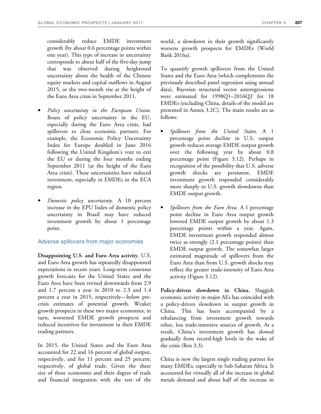considerably reduce EMDE investment growth (by about 0.6 percentage points within one year). This type of increase in uncertainty corresponds to about half of the five-day jump that was observed during heightened uncertainty about the health of the Chinese equity markets and capital outflows in August 2015, or the two-month rise at the height of the Euro Area crisis in September 2011.

- *Policy uncertainty in the European Union.*  Bouts of policy uncertainty in the EU, especially during the Euro Area crisis, had spillovers to close economic partners. For example, the Economic Policy Uncertainty Index for Europe doubled in June 2016 following the United Kingdom's vote to exit the EU or during the four months ending September 2011 (at the height of the Euro Area crisis). These uncertainties have reduced investment, especially in EMDEs in the ECA region.
- *Domestic policy uncertainty.* A 10 percent increase in the EPU Index of domestic policy uncertainty in Brazil may have reduced investment growth by about 1 percentage point.

## Adverse spillovers from major economies

**Disappointing U.S. and Euro Area activity.** U.S. and Euro Area growth has repeatedly disappointed expectations in recent years. Long-term consensus growth forecasts for the United States and the Euro Area have been revised downwards from 2.9 and 1.7 percent a year in 2010 to 2.3 and 1.4 percent a year in 2015, respectively—below precrisis estimates of potential growth. Weaker growth prospects in these two major economies, in turn, worsened EMDE growth prospects and reduced incentives for investment in their EMDE trading partners.

In 2015, the United States and the Euro Area accounted for 22 and 16 percent of global output, respectively, and for 11 percent and 25 percent, respectively, of global trade. Given the sheer size of these economies and their degree of trade and financial integration with the rest of the world, a slowdown in their growth significantly worsens growth prospects for EMDEs (World Bank 2016a).

To quantify growth spillovers from the United States and the Euro Area (which complements the previously described panel regression using annual data), Bayesian structural vector autoregressions were estimated for 1998Q1–2016Q2 for 18 EMDEs (excluding China, details of the model are presented in Annex 3.2C). The main results are as follows:

- *Spillovers from the United States.* A 1 percentage point decline in U.S. output growth reduces average EMDE output growth over the following year by about 0.8 percentage point (Figure 3.12). Perhaps in recognition of the possibility that U.S. adverse growth shocks are persistent, EMDE investment growth responded considerably more sharply to U.S. growth slowdowns than EMDE output growth.
- *Spillovers from the Euro Area.* A 1 percentage point decline in Euro Area output growth lowered EMDE output growth by about 1.3 percentage points within a year. Again, EMDE investment growth responded almost twice as strongly (2.1 percentage points) than EMDE output growth. The somewhat larger estimated magnitude of spillovers from the Euro Area than from U.S. growth shocks may reflect the greater trade-intensity of Euro Area activity (Figure 3.12).

**Policy-driven slowdown in China.** Sluggish economic activity in major AEs has coincided with a policy-driven slowdown in output growth in China. This has been accompanied by a rebalancing from investment growth towards other, less trade-intensive sources of growth. As a result, China's investment growth has slowed gradually from record-high levels in the wake of the crisis (Box 3.3).

China is now the largest single trading partner for many EMDEs, especially in Sub-Saharan Africa. It accounted for virtually all of the increase in global metals demand and about half of the increase in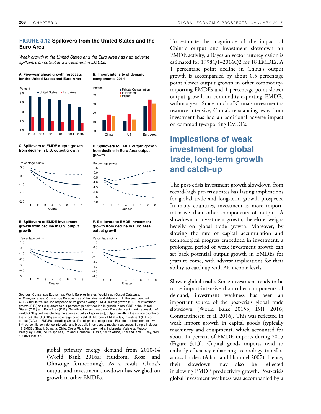#### **FIGURE 3.12 Spillovers from the United States and the Euro Area**

Weak growth in the United States and the Euro Area has had adverse spillovers on output and investment in EMDEs.



**A. Five-year ahead growth forecasts** 

**C. Spillovers to EMDE output growth from decline in U.S. output growth**



**E. Spillovers to EMDE investment growth from decline in U.S. output growth**



**B. Import intensity of demand** 

**components, 2014** 

**D. Spillovers to EMDE output growth from decline in Euro Area output growth**



**F. Spillovers to EMDE investment growth from decline in Euro Area output growth**



Sources: Consensus Economics, World Bank estimates, World Input-Output Database. A. Five-year ahead Consensus Forecasts as of the latest available month in the year denoted. C.-F. Cumulative impulse response of weighted average EMDE output growth (C.D.) or investment growth (E.F.) at 1-8 quarters to a 1 percentage point decline in growth in real GDP in the United States (C.E.) and Euro Area (D.F.). Growth spillovers based on a Bayesian vector autoregression of world GDP growth (excluding the source country of spillovers), output growth in the source country of the shock, the U.S. 10-year sovereign bond yield, JP Morgan's EMBI index, investment (E.F.) or output (C.D.) in EMDEs excluding China. The oil price is exogenous. Blue dotted lines denote 16th-84<sup>th</sup> percentile confidence intervals, and blue solid lines denote median responses. Sample includes 18 EMDEs (Brazil, Bulgaria, Chile, Costa Rica, Hungary, India, Indonesia, Malaysia, Mexico, Paraguay, Peru, the Philippines, Poland, Romania, Russia, South Africa, Thailand, and Turkey) from 1998Q1-2016Q2.

> global primary energy demand from 2010-14 (World Bank 2016a; Huidrom, Kose, and Ohnsorge forthcoming). As a result, China's output and investment slowdown has weighed on growth in other EMDEs.

To estimate the magnitude of the impact of China's output and investment slowdown on EMDE activity, a Bayesian vector autoregression is estimated for 1998Q1–2016Q2 for 18 EMDEs. A 1 percentage point decline in China's output growth is accompanied by about 0.5 percentage point slower output growth in other commodityimporting EMDEs and 1 percentage point slower output growth in commodity-exporting EMDEs within a year. Since much of China's investment is resource-intensive, China's rebalancing away from investment has had an additional adverse impact on commodity-exporting EMDEs.

# **Implications of weak investment for global trade, long-term growth and catch-up**

The post-crisis investment growth slowdown from record-high pre-crisis rates has lasting implications for global trade and long-term growth prospects. In many countries, investment is more importintensive than other components of output. A slowdown in investment growth, therefore, weighs heavily on global trade growth. Moreover, by slowing the rate of capital accumulation and technological progress embedded in investment, a prolonged period of weak investment growth can set back potential output growth in EMDEs for years to come, with adverse implications for their ability to catch up with AE income levels.

**Slower global trade.** Since investment tends to be more import-intensive than other components of demand, investment weakness has been an important source of the post-crisis global trade slowdown (World Bank 2015b; IMF 2016; Constantinescu et al. 2016). This was reflected in weak import growth in capital goods (typically machinery and equipment), which accounted for about 14 percent of EMDE imports during 2015 (Figure 3.13). Capital goods imports tend to embody efficiency-enhancing technology transfers across borders (Alfaro and Hammel 2007). Hence, their slowdown may also be reflected in slowing EMDE productivity growth. Post-crisis global investment weakness was accompanied by a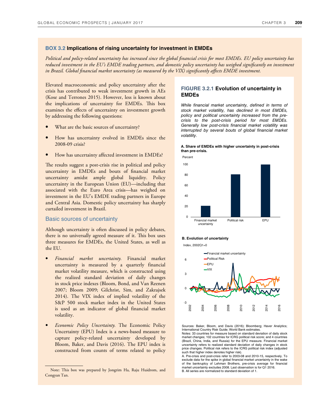#### **BOX 3.2 Implications of rising uncertainty for investment in EMDEs**

*Political and policy-related uncertainty has increased since the global 2nancial crisis for most EMDEs. EU policy uncertainty has reduced investment in the EU's EMDE trading partners, and domestic policy uncertainty has weighed significantly on investment in Brazil. Global financial market uncertainty (as measured by the VIX) significantly affects EMDE investment.* 

Elevated macroeconomic and policy uncertainty after the crisis has contributed to weak investment growth in AEs (Kose and Terrones 2015). However, less is known about the implications of uncertainty for EMDEs. This box examines the effects of uncertainty on investment growth by addressing the following questions:

- What are the basic sources of uncertainty?
- How has uncertainty evolved in EMDEs since the 2008-09 crisis?
- How has uncertainty affected investment in EMDEs?

The results suggest a post-crisis rise in political and policy uncertainty in EMDEs and bouts of financial market uncertainty amidst ample global liquidity. Policy uncertainty in the European Union (EU)—including that associated with the Euro Area crisis—has weighed on investment in the EU's EMDE trading partners in Europe and Central Asia. Domestic policy uncertainty has sharply curtailed investment in Brazil.

#### Basic sources of uncertainty

Although uncertainty is often discussed in policy debates, there is no universally agreed measure of it. Mis box uses three measures for EMDEs, the United States, as well as the EU.

- *Financial market uncertainty.* Financial market uncertainty is measured by a quarterly financial market volatility measure, which is constructed using the realized standard deviation of daily changes in stock price indexes (Bloom, Bond, and Van Reenen 2007; Bloom 2009; Gilchrist, Sim, and Zakrajsek 2014). The VIX index of implied volatility of the S&P 500 stock market index in the United States is used as an indicator of global financial market volatility.
- *Economic Policy Uncertainty.* The Economic Policy Uncertainty (EPU) Index is a news-based measure to capture policy-related uncertainty developed by Bloom, Baker, and Davis (2016). The EPU index is constructed from counts of terms related to policy

-

### **FIGURE 3.2.1 Evolution of uncertainty in EMDEs**

While financial market uncertainty, defined in terms of stock market volatility, has declined in most EMDEs, policy and political uncertainty increased from the precrisis to the post-crisis period for most EMDEs. Generally low post-crisis financial market volatility was interrupted by several bouts of global financial market volatility.





#### **B. Evolution of uncertainty**

 $Index$ , 2002 $O1 - 0$ 



Sources: Baker, Bloom, and Davis (2016); Bloomberg; Haver Analytics; International Country Risk Guide; World Bank estimates.

Notes: 33 countries for measure based on standard deviation of daily stock market changes: 102 countries for ICRG political risk score; and 4 countries (Brazil, China, India, and Russia) for the EPU measure. Financial market uncertainty refers to realized standard deviation of daily changes in stock price changes. Political risk refers to the ICRG political risk index (adjusted such that higher index denotes higher risk).

A. Pre-crisis and post-crisis refer to 2003-08 and 2010-15, respectively. To exclude data for the spike in global financial market uncertainty in the wake of the bankruptcy of Lehman Brothers, pre-crisis average for financial market uncertainty excludes 2008. Last observation is for Q1 2016. B. All series are normalized to standard deviation of 1.

Note: This box was prepared by Jongrim Ha, Raju Huidrom, and Congyan Tan.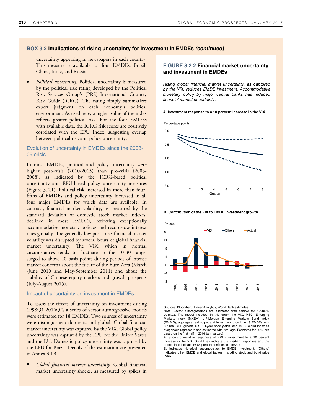## **BOX 3.2 Implications of rising uncertainty for investment in EMDEs (continued)**

uncertainty appearing in newspapers in each country. This measure is available for four EMDEs: Brazil, China, India, and Russia.

• *Political uncertainty.* Political uncertainty is measured by the political risk rating developed by the Political Risk Services Group's (PRS) International Country Risk Guide (ICRG). The rating simply summarizes expert judgment on each economy's political environment. As used here, a higher value of the index reflects greater political risk. For the four EMDEs with available data, the ICRG risk scores are positively correlated with the EPU Index, suggesting overlap between political risk and policy uncertainty.

#### Evolution of uncertainty in EMDEs since the 2008- 09 crisis

In most EMDEs, political and policy uncertainty were higher post-crisis (2010-2015) than pre-crisis (2003-2008), as indicated by the ICRG-based political uncertainty and EPU-based policy uncertainty measures (Figure 3.2.1). Political risk increased in more than fourfifths of EMDEs and policy uncertainty increased in all four major EMDEs for which data are available. In contrast, financial market volatility, as measured by the standard deviation of domestic stock market indexes, declined in most EMDEs, reflecting exceptionally accommodative monetary policies and record-low interest rates globally. The generally low post-crisis financial market volatility was disrupted by several bouts of global financial market uncertainty. The VIX, which in normal circumstances tends to fluctuate in the 10-30 range, surged to above 40 basis points during periods of intense market concerns about the future of the Euro Area (March -June 2010 and May-September 2011) and about the stability of Chinese equity markets and growth prospects (July-August 2015).

#### Impact of uncertainty on investment in EMDEs

To assess the effects of uncertainty on investment during 1998Q1-2016Q2, a series of vector autoregressive models were estimated for 18 EMDEs. Two sources of uncertainty were distinguished: domestic and global. Global financial market uncertainty was captured by the VIX. Global policy uncertainty was captured by the EPU for the United States and the EU. Domestic policy uncertainty was captured by the EPU for Brazil. Details of the estimation are presented in Annex 3.1B.

• *Global financial market uncertainty.* Global financial market uncertainty shocks, as measured by spikes in

## **FIGURE 3.2.2 Financial market uncertainty and investment in EMDEs**

Rising global financial market uncertainty, as captured by the VIX, reduces EMDE investment. Accommodative monetary policy by major central banks has reduced financial market uncertainty.

#### **A. Investment response to a 10 percent increase in the VIX**

Percentage points



**B. Contribution of the VIX to EMDE investment growth**

Percent



Sources: Bloomberg, Haver Analytics, World Bank estimates. Note: Vector autoregressions are estimated with sample for 1998Q1- 2016Q2. The model includes, in this order, the VIX, MSCI Emerging Markets Index (MXEM), J.P.Morgan Emerging Markets Bond Index (EMBIG), aggregate real output and investment growth in 18 EMDEs with G7 real GDP growth, U.S. 10-year bond yields, and MSCI World Index as exogenous regressors and estimated with two lags. Estimates for 2016 are based on the first half in 2016 (annualized).

A. Shows cumulative responses of EMDE investment to a 10 percent increase in the VIX. Solid lines indicate the median responses and the dotted lines indicate 16-84 percent confidence intervals.

B. Indicates historical decomposition to EMDE investment. "Others" indicates other EMDE and global factors, including stock and bond price index.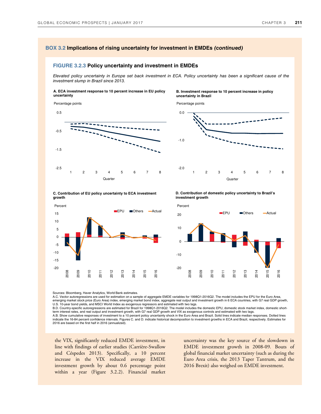#### **BOX 3.2 Implications of rising uncertainty for investment in EMDEs (continued)**

#### **FIGURE 3.2.3 Policy uncertainty and investment in EMDEs**

Elevated policy uncertainty in Europe set back investment in ECA. Policy uncertainty has been a significant cause of the investment slump in Brazil since 2013.

#### **A. ECA investment response to 10 percent increase in EU policy uncertainty**

Percentage points



Percentage points





**C. Contribution of EU policy uncertainty to ECA investment growth**



**D. Contribution of domestic policy uncertainty to Brazil's investment growth**



Sources: Bloomberg, Haver Analytics, World Bank estimates.

A.C. Vector autoregressions are used for estimation on a sample of aggregate EMDE variables for 1998Q1-2016Q2. The model includes the EPU for the Euro Area, emerging market stock price (Euro Area) index, emerging market bond index, aggregate real output and investment growth in 6 ECA countries, with G7 real GDP growth,

U.S. 10-year bond yields, and MSCI World Index as exogenous regressors and estimated with two lags.<br>B.D. Country-specific autoregressions are estimated for Brazil for 1998Q1-2016Q2. The model includes the domestic EPU, dom term interest rates, and real output and investment growth, with G7 real GDP growth and VIX as exogenous controls and estimated with two lags.

A.B. Show cumulative responses of investment to a 10 percent policy uncertainty shock in the Euro Area and Brazil. Solid lines indicate median responses. Dotted lines<br>indicate the 16-84 percent confidence intervals. Figure 2016 are based on the first half in 2016 (annualized).

the VIX, significantly reduced EMDE investment, in line with findings of earlier studies (Carrière-Swallow and Céspedes 2013). Specifically, a 10 percent increase in the VIX reduced average EMDE investment growth by about 0.6 percentage point within a year (Figure 3.2.2). Financial market

uncertainty was the key source of the slowdown in EMDE investment growth in 2008-09*.* Bouts of global financial market uncertainty (such as during the Euro Area crisis, the 2013 Taper Tantrum, and the 2016 Brexit) also weighed on EMDE investment.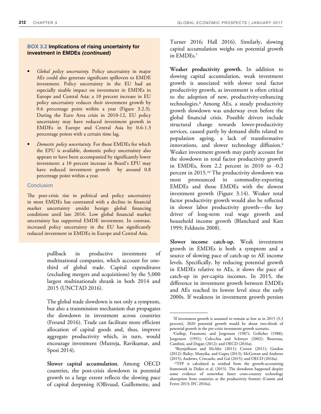#### **BOX 3.2 Implications of rising uncertainty for investment in EMDEs (continued)**

- *Global policy uncertainty.* Policy uncertainty in major AEs could also generate significant spillovers to EMDE investment. Policy uncertainty in the EU had an especially sizable impact on investment in EMDEs in Europe and Central Asia: a 10 percent increase in EU policy uncertainty reduces their investment growth by 0.6 percentage point within a year (Figure 3.2.3). During the Euro Area crisis in 2010-12, EU policy uncertainty may have reduced investment growth in EMDEs in Europe and Central Asia by 0.6-1.3 percentage points with a certain time lag.
- *Domestic policy uncertainty.* For those EMDEs for which the EPU is available, domestic policy uncertainty also appears to have been accompanied by significantly lower investment: a 10 percent increase in Brazil's EPU may have reduced investment growth by around 0.8 percentage point within a year.

#### **Conclusion**

The post-crisis rise in political and policy uncertainty in most EMDEs has contrasted with a decline in financial market uncertainty amidst benign global financing conditions until late 2016. Low global financial market uncertainty has supported EMDE investment. In contrast, increased policy uncertainty in the EU has significantly reduced investment in EMDEs in Europe and Central Asia.

> pullback in productive investment of multinational companies, which account for onethird of global trade. Capital expenditures (excluding mergers and acquisitions) by the 5,000 largest multinationals shrank in both 2014 and 2015 (UNCTAD 2016).

> The global trade slowdown is not only a symptom, but also a transmission mechanism that propagates the slowdown in investment across countries (Freund 2016). Trade can facilitate more efficient allocation of capital goods and, thus, improve aggregate productivity which, in turn, would encourage investment (Mutreja, Ravikumar, and Sposi 2014).

> **Slower capital accumulation.** Among OECD countries, the post-crisis slowdown in potential growth to a large extent reflects the slowing pace of capital deepening (Ollivaud, Guillemette, and

Turner 2016; Hall 2016). Similarly, slowing capital accumulation weighs on potential growth in EMDEs.<sup>7</sup>

**Weaker productivity growth.** In addition to slowing capital accumulation, weak investment growth is associated with slower total factor productivity growth, as investment is often critical to the adoption of new, productivity-enhancing technologies.<sup>8</sup> Among AEs, a steady productivity growth slowdown was underway even before the global financial crisis. Possible drivers include structural change towards lower-productivity services, caused partly by demand shifts related to population ageing, a lack of transformative innovations, and slower technology diffusion.<sup>9</sup> Weaker investment growth may partly account for the slowdown in total factor productivity growth in EMDEs, from 2.2 percent in 2010 to -0.2 percent in 2015.10 The productivity slowdown was most pronounced in commodity-exporting EMDEs and those EMDEs with the slowest investment growth (Figure 3.14). Weaker total factor productivity growth would also be reflected in slower labor productivity growth—the key driver of long-term real wage growth and household income growth (Blanchard and Katz 1999; Feldstein 2008).

**Slower income catch-up.** Weak investment growth in EMDEs is both a symptom and a source of slowing pace of catch-up to AE income levels. Specifically, by reducing potential growth in EMDEs relative to AEs, it slows the pace of catch-up in per-capita incomes. In 2015, the difference in investment growth between EMDEs and AEs reached its lowest level since the early 2000s. If weakness in investment growth persists

<sup>7</sup>If investment growth is assumed to remain as low as in 2015 (3.3 percent), 2020 potential growth would be about two-thirds of potential growth in the pre-crisis investment growth scenario.

<sup>8</sup>Gollop, Fraumeni, and Jorgenson (1987); Griliches (1988); Jorgenson (1991); Colecchia and Schreyer (2002); Bourreau, Cambini, and Dogan (2012); and OECD (2016a).

<sup>9</sup>Brynjolfsson and McAfee (2011); Cowen (2011); Gordon (2012); Bailey, Manyika, and Gupta (2013); McGowan and Andrews (2015); Andrews, Criscuolo, and Gal (2015); and OECD (2016a).

<sup>10</sup>TFP is calculated as residual from the growth-accounting framework in Didier et al. (2015). The slowdown happened despite some evidence of somewhat faster cross-country technology absorption from countries at the productivity frontier (Comin and Ferrer 2013; IFC 2016a).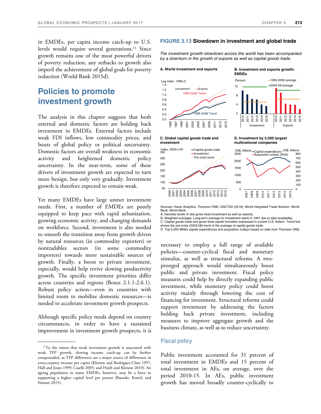in EMDEs, per capita income catch-up to U.S. levels would require several generations.<sup>11</sup> Since growth remains one of the most powerful drivers of poverty reduction, any setbacks to growth also imperil the achievement of global goals for poverty reduction (World Bank 2015d).

# **Policies to promote investment growth**

The analysis in this chapter suggests that both external and domestic factors are holding back investment in EMDEs. External factors include weak FDI inflows, low commodity prices, and bouts of global policy or political uncertainty. Domestic factors are overall weakness in economic activity and heightened domestic policy uncertainty. In the near-term, some of these drivers of investment growth are expected to turn more benign, but only very gradually. Investment growth is therefore expected to remain weak.

Yet many EMDEs have large unmet investment needs. First, a number of EMDEs are poorly equipped to keep pace with rapid urbanization, growing economic activity, and changing demands on workforce. Second, investment is also needed to smooth the transition away from growth driven by natural resources (in commodity exporters) or nontradables sectors (in some commodity importers) towards more sustainable sources of growth. Finally, a boost to private investment, especially, would help revive slowing productivity growth. The specific investment priorities differ across countries and regions (Boxes 2.1.1-2.6.1). Robust policy action—even in countries with limited room to mobilize domestic resources—is needed to accelerate investment growth prospects.

Although specific policy needs depend on country circumstances, in order to have a sustained improvement in investment growth prospects, it is

#### **FIGURE 3.13 Slowdown in investment and global trade**

The investment growth slowdown across the world has been accompanied by a downturn in the growth of exports as well as capital goods trade.

#### **A. World investment and exports**



**B. Investment and exports growth: EMDEs**



**D. Investment by 5,000 largest multinational companies**

#### **C. Global capital goods trade and investment**



Sources: Haver Analytics; Thomson ONE; UNCTAD (2016); World Integrated Trade Solution, World Bank; World Bank.

A. Denotes levels of real gross fixed investment as well as exports.

B. Weighted averages. Long-term average for investment starts in 1991 due to data availability.

C. Capital goods trade and gross fixed capital formation expressed in current U.S. dollars. Trend line shows the pre-crisis (2003-08) trend of the average of capital goods trade.

D. Top 5,000 MNEs capital expenditures and acquisition outlays based on data from Thomson ONE.

necessary to employ a full range of available policies—counter-cyclical fiscal and monetary stimulus, as well as structural reforms. A twopronged approach would simultaneously boost public and private investment. Fiscal policy measures could help by directly expanding public investment, while monetary policy could boost activity mainly through lowering the cost of financing for investment. Structural reforms could support investment by addressing the factors holding back private investment, including measures to improve aggregate growth and the business climate, as well as to reduce uncertainty.

#### Fiscal policy

Public investment accounted for 31 percent of total investment in EMDEs and 15 percent of total investment in AEs, on average, over the period 2010-15. In AEs, public investment growth has moved broadly counter-cyclically to

<sup>&</sup>lt;sup>11</sup>To the extent that weak investment growth is associated with weak TFP growth, slowing income catch-up can be further compounded, as TFP differences are a major source of differences in cross-country income per capita (Klenow and Rodriguez-Clare 1997; Hall and Jones 1999; Caselli 2005; and Hsieh and Klenow 2010). An ageing population in many EMDEs, however, may be a force in supporting a higher capital level per person (Bussolo, Koettl, and Sinnott 2015).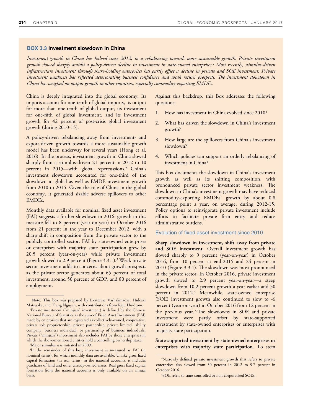#### **BOX 3.3 Investment slowdown in China**

*Investment growth in China has halved since 2012, in a rebalancing towards more sustainable growth. Private investment growth slowed sharply amidst a policy-driven decline in investment in state-owned enterprises.<sup>1</sup> Most recently, stimulus-driven infrastructure investment through share-holding enterprises has partly offset a decline in private and SOE investment. Private* investment weakness has reflected deteriorating business confidence and weak return prospects. The investment slowdown in *China has weighed on output growth in other countries, especially commodity-exporting EMDEs.* 

China is deeply integrated into the global economy. Its imports account for one-tenth of global imports, its output for more than one-tenth of global output, its investment for one-fifth of global investment, and its investment growth for 42 percent of post-crisis global investment growth (during 2010-15).

A policy-driven rebalancing away from investment- and export-driven growth towards a more sustainable growth model has been underway for several years (Hong et al. 2016). In the process, investment growth in China slowed sharply from a stimulus-driven 21 percent in 2012 to 10 percent in 2015—with global repercussions.<sup>2</sup> China's investment slowdown accounted for one-third of the slowdown in global as well as EMDE investment growth from 2010 to 2015. Given the role of China in the global economy, it generated sizable adverse spillovers to other EMDEs.

Monthly data available for nominal fixed asset investment (FAI) suggests a further slowdown in 2016: growth in this measure fell to 8 percent (year-on-year) in October 2016 from 21 percent in the year to December 2012, with a sharp shift in composition from the private sector to the publicly controlled sector. FAI by state-owned enterprises or enterprises with majority state participation grew by 20.5 percent (year-on-year) while private investment growth slowed to 2.9 percent (Figure 3.3.1).<sup>3</sup> Weak private sector investment adds to concerns about growth prospects as the private sector generates about 65 percent of total investment, around 50 percent of GDP, and 80 percent of employment.

Against this backdrop, this Box addresses the following questions:

- 1. How has investment in China evolved since 2010?
- 2. What has driven the slowdown in China's investment growth?
- 3. How large are the spillovers from China's investment slowdown?
- 4. Which policies can support an orderly rebalancing of investment in China?

This box documents the slowdown in China's investment growth as well as its shifting composition, with pronounced private sector investment weakness. Me slowdown in China's investment growth may have reduced commodity-exporting EMDEs' growth by about 0.8 percentage point a year, on average, during 2012-15. Policy options to reinvigorate private investment include efforts to facilitate private firm entry and reduce administrative burdens.

#### Evolution of fixed asset investment since 2010

**Sharp slowdown in investment, shift away from private and SOE investment.** Overall investment growth has slowed sharply to 9 percent (year-on-year) in October 2016, from 10 percent at end-2015 and 24 percent in 2010 (Figure 3.3.1). Me slowdown was most pronounced in the private sector. In October 2016, private investment growth slowed to 2.9 percent year-on-year—a steep slowdown from 10.2 percent growth a year earlier and 30 percent in 2012.<sup>4</sup> Meanwhile, state-owned enterprise (SOE) investment growth also continued to slow to -6 percent (year-on-year) in October 2016 from 12 percent in the previous year. 5 Me slowdowns in SOE and private investment were partly offset by state-supported investment by state-owned enterprises or enterprises with majority state participation.

#### **State-supported investment by state-owned enterprises or enterprises with majority state participation.** To stem

Note: This box was prepared by Ekaterine Vashakmadze, Hideaki Matsuoka, and Trang Nguyen, with contributions from Raju Huidrom.

<sup>&</sup>lt;sup>1</sup>Private investment ("minjian" investment) is defined by the Chinese National Bureau of Statistics as the sum of Fixed Asset Investment (FAI) made by enterprises that are registered as collectively-owned, cooperative, private sole proprietorship, private partnership, private limited liability company, business individual, or partnership of business individuals. Private ("minjian") investment also includes FAI by those enterprises in which the above-mentioned entities hold a controlling ownership stake.

<sup>2</sup>Major stimulus was initiated in 2009.

<sup>&</sup>lt;sup>3</sup>In the remainder of this box, investment is measured as FAI (in nominal terms), for which monthly data are available. Unlike gross fixed capital formation (in real terms) in the national accounts, it includes purchases of land and other already-owned assets. Real gross fixed capital formation from the national accounts is only available on an annual basis.

<sup>&</sup>lt;sup>4</sup>Narrowly defined private investment growth that refers to private enterprises also slowed from 30 percent in 2012 to 9.7 percent in October 2016.

<sup>5</sup>SOE refers to state-controlled or non-corporatized SOEs.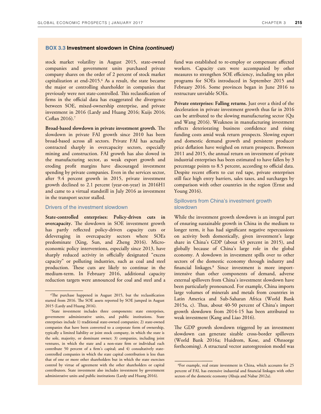#### **BOX 3.3 Investment slowdown in China (continued)**

stock market volatility in August 2015, state-owned companies and government units purchased private company shares on the order of 2 percent of stock market capitalization at end-2015.<sup>6</sup> As a result, the state became the major or controlling shareholder in companies that previously were not state-controlled. This reclassification of firms in the official data has exaggerated the divergence between SOE, mixed-ownership enterprise, and private investment in 2016 (Lardy and Huang 2016; Kuijs 2016;  $Coflan 2016$ .<sup>7</sup>

**Broad-based slowdown in private investment growth.** Me slowdown in private FAI growth since 2010 has been broad-based across all sectors. Private FAI has actually contracted sharply in overcapacity sectors, especially mining and construction. FAI growth has also slowed in the manufacturing sector, as weak export growth and eroding profit margins have discouraged investment spending by private companies. Even in the services sector, after 9.4 percent growth in 2015, private investment growth declined to 2.1 percent (year-on-year) in 2016H1 and came to a virtual standstill in July 2016 as investment in the transport sector stalled.

#### Drivers of the investment slowdown

**State-controlled enterprises: Policy-driven cuts in overcapacity.** The slowdown in SOE investment growth has partly reflected policy-driven capacity cuts or deleveraging in overcapacity sectors where SOEs predominate (Xing, Sun, and Zheng 2016). Microeconomic policy interventions, especially since 2013, have sharply reduced activity in officially designated "excess capacity" or polluting industries, such as coal and steel production. Mese cuts are likely to continue in the medium-term. In February 2016, additional capacity reduction targets were announced for coal and steel and a

fund was established to re-employ or compensate affected workers. Capacity cuts were accompanied by other measures to strengthen SOE efficiency, including ten pilot programs for SOEs introduced in September 2015 and February 2016. Some provinces began in June 2016 to restructure unviable SOEs.

**Private enterprises: Falling returns.** Just over a third of the deceleration in private investment growth thus far in 2016 can be attributed to the slowing manufacturing sector (Qu and Wang 2016). Weakness in manufacturing investment reflects deteriorating business confidence and rising funding costs amid weak return prospects. Slowing export and domestic demand growth and persistent producer price deflation have weighed on return prospects. Between 2011 and 2015, the annual return on investment of private industrial enterprises has been estimated to have fallen by 3 percentage points to 8.5 percent, according to official data. Despite recent efforts to cut red tape, private enterprises still face high entry barriers, sales taxes, and surcharges by comparison with other countries in the region (Ernst and Young 2016).

#### Spillovers from China's investment growth slowdown

While the investment growth slowdown is an integral part of ensuring sustainable growth in China in the medium to longer term, it has had significant negative repercussions on activity both domestically, given investment's large share in China's GDP (about 43 percent in 2015), and globally because of China's large role in the global economy. A slowdown in investment spills over to other sectors of the domestic economy through industry and financial linkages.<sup>8</sup> Since investment is more importintensive than other components of demand, adverse external spillovers from China's investment slowdown have been particularly pronounced. For example, China imports large volumes of minerals and metals from countries in Latin America and Sub-Saharan Africa (World Bank 2015a, c). Mus, about 40-50 percent of China's import growth slowdown from 2014-15 has been attributed to weak investment (Kang and Liao 2016).

The GDP growth slowdown triggered by an investment slowdown can generate sizable cross-border spillovers (World Bank 2016a; Huidrom, Kose, and Ohnsorge forthcoming). A structural vector autoregression model was

 $6$ The purchase happened in August 2015, but the reclassification started from 2016. Me SOE assets reported by SOE jumped in August 2015 (Lardy and Huang 2016).

<sup>7</sup>State investment includes three components: state enterprises, government administrative units, and public institutions. State enterprises include 1) traditional state-owned companies; 2) state-owned companies that have been converted to a corporate form of ownership, typically a limited liability or joint stock company, in which the state is the sole, majority, or dominant owner; 3) companies, including joint ventures, in which the state and a non-state firm or individual each contribute 50 percent of a firm's capital; and 4) consultatively statecontrolled companies in which the state capital contribution is less than that of one or more other shareholders but in which the state exercises control by virtue of agreement with the other shareholders or capital contributors. State investment also includes investment by government administrative units and public institutions (Lardy and Huang 2016).

<sup>8</sup>For example, real estate investment in China, which accounts for 25 percent of FAI, has extensive industrial and financial linkages with other sectors of the domestic economy (Ahuja and Nabar 2012a).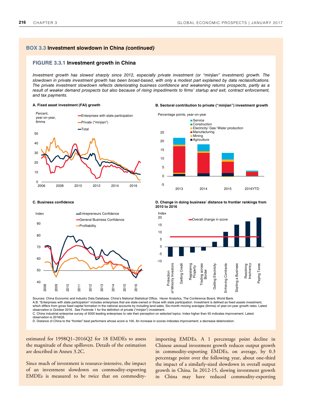#### **BOX 3.3 Investment slowdown in China (continued)**

#### **FIGURE 3.3.1 Investment growth in China**

Investment growth has slowed sharply since 2012, especially private investment (or "minjian" investment) growth. The slowdown in private investment growth has been broad-based, with only a modest part explained by data reclassifications. The private investment slowdown reflects deteriorating business confidence and weakening returns prospects, partly as a result of weaker demand prospects but also because of rising impediments to firms' startup and exit, contract enforcement, and tax payments.

#### **A. Fixed asset investment (FAI) growth B. Sectoral contribution to private ("minjian") investment growth**







**C. Business confidence D. Change in doing business' distance to frontier rankings from 2010 to 2016**

Index20 Overall change in score 15 10 5 0 -5 -10 Protection<br>Minority Investors of Minority Investors Getting Credit Getting Credit Registering Property Trading across Getting Electricity Enforcing Contracts Enforcing Contracts Starting a Business Resolving Insolvency rading across **Getting Electricity** Starting a Business Paying Taxes Border ъ

Sources: China Economic and Industry Data Database, China's National Statistical Office, Haver Analytics, The Conference Board, World Bank. A.B. "Enterprises with state participation" includes enterprises that are state-owned or those with state participation. Investment is defined as fixed assets investment, which differs from gross fixed capital formation in the national accounts by including land sales. Six-month moving averages (6mma) of year-on-year growth rates. Latest observation is October 2016. See Footnote 1 for the definition of private ("minjian") investment. C. China industrial enterprise survey of 5000 leading enterprises to rate their perception on selected topics. Index higher than 50 indicates improvement. Latest

observation is 2016Q3.

D. Distance of China to the "frontier"-best performers whose score is 100. An increase in scores indicates improvement; a decrease deterioration.

estimated for 1998Q1–2016Q2 for 18 EMDEs to assess the magnitude of these spillovers. Details of the estimation are described in Annex 3.2C.

Since much of investment is resource-intensive, the impact of an investment slowdown on commodity-exporting EMDEs is measured to be twice that on commodity-

importing EMDEs. A 1 percentage point decline in Chinese annual investment growth reduces output growth in commodity-exporting EMDEs, on average, by 0.3 percentage point over the following year, about one-third the impact of a similarly-sized slowdown in overall output growth in China. In 2012-15, slowing investment growth in China may have reduced commodity-exporting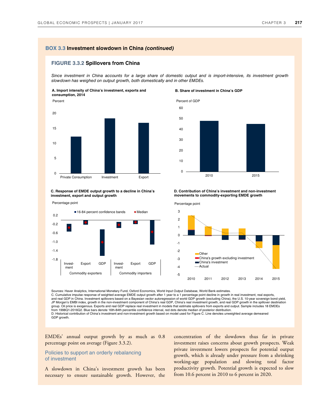#### **BOX 3.3 Investment slowdown in China (continued)**

#### **FIGURE 3.3.2 Spillovers from China**

Since investment in China accounts for a large share of domestic output and is import-intensive, its investment growth slowdown has weighed on output growth, both domestically and in other EMDEs.

**A. Import intensity of China's investment, exports and consumption, 2014**



**C. Response of EMDE output growth to a decline in China's investment, export and output growth** 



#### **B. Share of investment in China's GDP**



**D. Contribution of China's investment and non-investment movements to commodity-exporting EMDE growth**



Sources: Haver Analytics, International Monetary Fund, Oxford Economics, World Input Output Database, World Bank estimates.

C. Cumulative impulse response of weighted average EMDE output growth after 1 year to a 1 percentage point decline in growth in real investment, real exports, and real GDP in China. Investment spillovers based on a Bayesian vector autoregression of world GDP growth (excluding China), the U.S. 10-year sovereign bond yield,<br>JP Morgan's EMBI index, growth in the non-investment comp group. Oil price is exogenous. Exports and real GDP replace real investment in models that estimate spillovers from exports and output. Sample includes 18 EMDEs<br>from 1998Q1-2016Q2. Blue bars denote 16th-84th percentile con D. Historical contribution of China's investment and non-investment growth based on model used for Figure C. Line denotes unweighted average demeaned GDP growth.

EMDEs' annual output growth by as much as 0.8 percentage point on average (Figure 3.3.2).

#### Policies to support an orderly rebalancing of investment

A slowdown in China's investment growth has been necessary to ensure sustainable growth. However, the

concentration of the slowdown thus far in private investment raises concerns about growth prospects. Weak private investment lowers prospects for potential output growth, which is already under pressure from a shrinking working-age population and slowing total factor productivity growth. Potential growth is expected to slow from 10.6 percent in 2010 to 6 percent in 2020.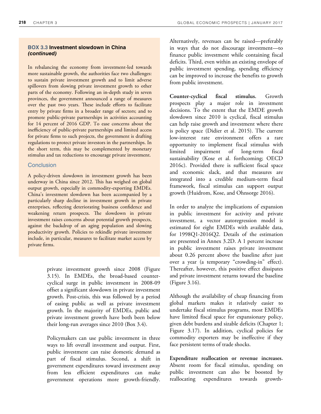# **BOX 3.3 Investment slowdown in China (continued)**

In rebalancing the economy from investment-led towards more sustainable growth, the authorities face two challenges: to sustain private investment growth and to limit adverse spillovers from slowing private investment growth to other parts of the economy. Following an in-depth study in seven provinces, the government announced a range of measures over the past two years. These include efforts to facilitate entry by private firms in a broader range of sectors; and to promote public-private partnerships in activities accounting for 14 percent of 2016 GDP. To ease concerns about the inefficiency of public-private partnerships and limited access for private firms to such projects, the government is drafting regulations to protect private investors in the partnerships. In the short term, this may be complemented by monetary stimulus and tax reductions to encourage private investment.

#### **Conclusion**

A policy-driven slowdown in investment growth has been underway in China since 2012. Mis has weighed on global output growth, especially in commodity-exporting EMDEs. China's investment slowdown has been accompanied by a particularly sharp decline in investment growth in private enterprises, reflecting deteriorating business confidence and weakening return prospects. The slowdown in private investment raises concerns about potential growth prospects, against the backdrop of an aging population and slowing productivity growth. Policies to rekindle private investment include, in particular, measures to facilitate market access by private firms.

> private investment growth since 2008 (Figure 3.15). In EMDEs, the broad-based countercyclical surge in public investment in 2008-09 offset a significant slowdown in private investment growth. Post-crisis, this was followed by a period of easing public as well as private investment growth. In the majority of EMDEs, public and private investment growth have both been below their long-run averages since 2010 (Box 3.4).

> Policymakers can use public investment in three ways to lift overall investment and output. First, public investment can raise domestic demand as part of fiscal stimulus. Second, a shift in government expenditures toward investment away from less efficient expenditures can make government operations more growth-friendly.

Alternatively, revenues can be raised—preferably in ways that do not discourage investment—to finance public investment while containing fiscal deficits. Third, even within an existing envelope of public investment spending, spending efficiency can be improved to increase the benefits to growth from public investment.

**Counter-cyclical fiscal stimulus.** Growth prospects play a major role in investment decisions. To the extent that the EMDE growth slowdown since 2010 is cyclical, fiscal stimulus can help raise growth and investment where there is policy space (Didier et al. 2015). The current low-interest rate environment offers a rare opportunity to implement fiscal stimulus with limited impairment of long-term fiscal sustainability (Kose et al. forthcoming; OECD 2016c). Provided there is sufficient fiscal space and economic slack, and that measures are integrated into a credible medium-term fiscal framework, fiscal stimulus can support output growth (Huidrom, Kose, and Ohnsorge 2016).

In order to analyze the implications of expansion in public investment for activity and private investment, a vector autoregression model is estimated for eight EMDEs with available data, for 1998Q1-2016Q2. Details of the estimation are presented in Annex 3.2D. A 1 percent increase in public investment raises private investment about 0.26 percent above the baseline after just over a year (a temporary "crowding-in" effect). Thereafter, however, this positive effect dissipates and private investment returns toward the baseline (Figure 3.16).

Although the availability of cheap financing from global markets makes it relatively easier to undertake fiscal stimulus programs, most EMDEs have limited fiscal space for expansionary policy, given debt burdens and sizable deficits (Chapter 1; Figure 3.17). In addition, cyclical policies for commodity exporters may be ineffective if they face persistent terms of trade shocks.

**Expenditure reallocation or revenue increases.** Absent room for fiscal stimulus, spending on public investment can also be boosted by reallocating expenditures towards growth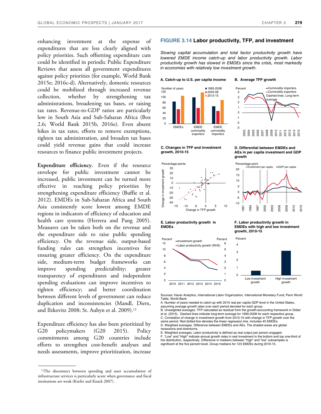enhancing investment at the expense of expenditures that are less clearly aligned with policy priorities. Such offsetting expenditure cuts could be identified in periodic Public Expenditure Reviews that assess all government expenditures against policy priorities (for example, World Bank 2015e; 2016c-d). Alternatively, domestic resources could be mobilized through increased revenue collection, whether by strengthening tax administrations, broadening tax bases, or raising tax rates. Revenue-to-GDP ratios are particularly low in South Asia and Sub-Saharan Africa (Box 2.6; World Bank 2015b, 2016e). Even absent hikes in tax rates, efforts to remove exemptions, tighten tax administration, and broaden tax bases could yield revenue gains that could increase resources to finance public investment projects.

**Expenditure efficiency.** Even if the resource envelope for public investment cannot be increased, public investment can be turned more effective in reaching policy priorities by strengthening expenditure efficiency (Buffie et al. 2012). EMDEs in Sub-Saharan Africa and South Asia consistently score lowest among EMDE regions in indicators of efficiency of education and health care systems (Herrera and Pang 2005). Measures can be taken both on the revenue and the expenditure side to raise public spending efficiency. On the revenue side, output-based funding rules can strengthen incentives for ensuring greater efficiency. On the expenditure side, medium-term budget frameworks can improve spending predictability; greater transparency of expenditures and independent spending evaluations can improve incentives to tighten efficiency; and better coordination between different levels of government can reduce duplication and inconsistencies (Mandl, Dierx, and Ilzkovitz 2008; St. Aubyn et al. 2009).<sup>12</sup>

Expenditure efficiency has also been prioritized by G20 policymakers (G20 2015). Policy commitments among G20 countries include efforts to strengthen cost-benefit analyses and needs assessments, improve prioritization, increase

#### **FIGURE 3.14 Labor productivity, TFP, and investment**

Slowing capital accumulation and total factor productivity growth have lowered EMDE income catch-up and labor productivity growth. Labor productivity growth has slowed in EMDEs since the crisis, most markedly in economies with relatively low investment growth.

#### **A. Catch-up to U.S. per capita income B. Average TFP growth**







# **E. Labor productivity growth in**

**EMDEs** 



 $\Omega$ Low investment growth 0 1 2010 2011 2012 2013 2014 2015

2

Sources: Haver Analytics, International Labor Organization, International Monetary Fund, Penn World Table, World Bank.

1

A. Number of years needed to catch-up with 2015 real per capita GDP level in the United States, assuming average growth rates over each period denoted for each group.

B. Unweighted averages. TFP calculated as residual from the growth-accounting framework in Didier et al. (2015). Dashed lines indicate long-term average for 1990-2008 for each respective group. C. Correlation of change in investment growth from 2010-15 with change in TFP growth over the same period. Red dotted line denotes the linear regression line. Includes 40 EMDEs.

D. Weighted averages. Difference between EMDEs and AEs. The shaded areas are global recessions and downturns.

E. Weighted averages. Labor productivity is defined as real output per person engaged. net and "High" indicate annual growth rates in real investment in the bottom and top one-third of the distribution, respectively. Difference in medians between "high" and "low" subsamples is significant at the five percent level. Group medians for 123 EMDEs during 2010-15.









High investment growth

<sup>&</sup>lt;sup>12</sup>The disconnect between spending and asset accumulation of infrastructure services is particularly acute when governance and fiscal institutions are weak (Keefer and Knack 2007).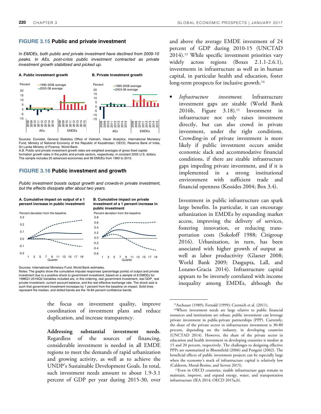#### **FIGURE 3.15 Public and private investment**

In EMDEs, both public and private investment have declined from 2009-10 peaks. In AEs, post-crisis public investment contracted as private investment growth stabilized and picked up.



Sources: Eurostat, General Statistics Office of Vietnam, Haver Analytics, International Monetary Fund, Ministry of National Economy of the Republic of Kazakhstan, OECD, Reserve Bank of India, Sri Lanka Ministry of Finance, World Bank.

A.B. Public and private investment growth rates are weighted averages of gross fixed capital formation growth rates in the public and private sectors, respectively, in constant 2005 U.S. dollars. The sample includes 20 advanced economies and 99 EMDEs from 1990 to 2015.

#### **FIGURE 3.16 Public investment and growth**

Public investment boosts output growth and crowds-in private investment, but the effects dissipate after about two years.



Sources: International Monetary Fund, World Bank estimates.

Notes: The graphs show the cumulative impulse responses (percentage points) of output and private investment due to a positive shock to government investment, based on a sample of 8 EMDEs for 1998Q1-2016Q2.Variables included are, in this ordering, real government investment, real GDP¸ real private investment, current account balance, and the real effective exchange rate. The shock size is such that government investment increases by 1 percent from the baseline on impact. Solid lines represent the median, and dotted bands are the 16-84 percent confidence bands.

> the focus on investment quality, improve coordination of investment plans and reduce duplication, and increase transparency.

> **Addressing substantial investment needs.** Regardless of the sources of financing, considerable investment is needed in all EMDE regions to meet the demands of rapid urbanization and growing activity, as well as to achieve the UNDP's Sustainable Development Goals. In total, such investment needs amount to about 1.9-3.1 percent of GDP per year during 2015-30, over

and above the average EMDE investment of 24 percent of GDP during 2010-15 (UNCTAD 2014).13 While specific investment priorities vary widely across regions (Boxes 2.1.1-2.6.1), investments in infrastructure as well as in human capital, in particular health and education, foster long-term prospects for inclusive growth.<sup>14</sup>

• *Infrastructure investment.* Infrastructure investment gaps are sizable (World Bank 2016b, Figure 3.18).15 Investment in infrastructure not only raises investment directly, but can also crowd in private investment, under the right conditions. Crowding-in of private investment is more likely if public investment occurs amidst economic slack and accommodative financial conditions, if there are sizable infrastructure gaps impeding private investment, and if it is implemented in a strong institutional environment with sufficient trade and financial openness (Kessides 2004; Box 3.4).

Investment in public infrastructure can spark large benefits. In particular, it can encourage urbanization in EMDEs by expanding market access, improving the delivery of services, fostering innovation, or reducing transportation costs (Sokoloff 1988; Citigroup 2016). Urbanization, in turn, has been associated with higher growth of output as well as labor productivity (Glaeser 2008; World Bank 2009; Dasgupta, Lall, and Lozano-Gracia 2014). Infrastructure capital appears to be inversely correlated with income inequality among EMDEs, although the

<sup>15</sup>Even in OECD countries, sizable infrastructure gaps remain to maintain, improve, and expand energy, water, and transportation infrastructure (IEA 2014; OECD 2015a,b).

<sup>13</sup>Aschauer (1989); Fernald (1999); Czernich et al. (2011).

<sup>14</sup>Where investment needs are large relative to public financial resources and institutions are robust, public investment can leverage private investment in public-private partnerships (PPP). Currently, the share of the private sector in infrastructure investment is 30-80 percent, depending on the industry, in developing countries (UNCTAD 2014). However, the share of the private sector in education and health investment in developing countries is modest at 15 and 20 percent, respectively. The challenges to designing effective PPPs are summarized in Bloomfield (2006) and Pongsiri (2002). The beneficial effects of public investment projects can be especially large when the economy's stock of infrastructure capital is relatively low (Calderon, Moral-Benito, and Serven 2015).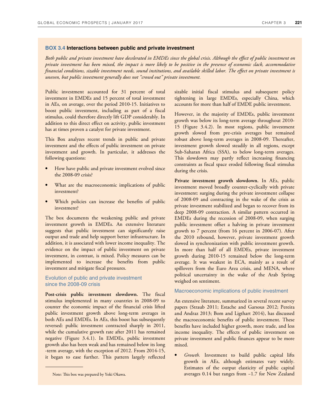#### **BOX 3.4 Interactions between public and private investment**

*Both public and private investment have decelerated in EMDEs since the global crisis. Although the effect of public investment on private investment has been mixed, the impact is more likely to be positive in the presence of economic slack, accommodative financial conditions, sizable investment needs, sound institutions, and available skilled labor. The effect on private investment is uneven, but public investment generally does not "crowd out" private investment.*

Public investment accounted for 31 percent of total investment in EMDEs and 15 percent of total investment in AEs, on average, over the period 2010-15. Initiatives to boost public investment, including as part of a fiscal stimulus, could therefore directly lift GDP considerably. In addition to this direct effect on activity, public investment has at times proven a catalyst for private investment.

This Box analyzes recent trends in public and private investment and the effects of public investment on private investment and growth. In particular, it addresses the following questions:

- How have public and private investment evolved since the 2008-09 crisis?
- What are the macroeconomic implications of public investment?
- Which policies can increase the benefits of public investment?

The box documents the weakening public and private investment growth in EMDEs. An extensive literature suggests that public investment can significantly raise output and trade and help support better infrastructure. In addition, it is associated with lower income inequality. The evidence on the impact of public investment on private investment, in contrast, is mixed. Policy measures can be implemented to increase the benefits from public investment and mitigate fiscal pressures.

#### Evolution of public and private investment since the 2008-09 crisis

**Post-crisis public investment slowdown.** The fiscal stimulus implemented in many countries in 2008-09 to counter the economic impact of the financial crisis lifted public investment growth above long-term averages in both AEs and EMDEs. In AEs, this boost has subsequently reversed: public investment contracted sharply in 2011, while the cumulative growth rate after 2011 has remained negative (Figure 3.4.1). In EMDEs, public investment growth also has been weak and has remained below its long -term average, with the exception of 2012. From 2014-15, it began to ease further. This pattern largely reflected sizable initial fiscal stimulus and subsequent policy tightening in large EMDEs, especially China, which accounts for more than half of EMDE public investment.

However, in the majority of EMDEs, public investment growth was below its long-term average throughout 2010- 15 (Figure 3.4.2). In most regions, public investment growth slowed from pre-crisis averages but remained robust above long-term averages in 2008-09. Thereafter, investment growth slowed steadily in all regions, except Sub-Saharan Africa (SSA), to below long-term averages. This slowdown may partly reflect increasing financing constraints as fiscal space eroded following fiscal stimulus during the crisis.

Private investment growth slowdown. In AEs, public investment moved broadly counter-cyclically with private investment: surging during the private investment collapse of 2008-09 and contracting in the wake of the crisis as private investment stabilized and began to recover from its deep 2008-09 contraction. A similar pattern occurred in EMDEs during the recession of 2008-09, when surging public investment offset a halving in private investment growth to 7 percent (from 16 percent in 2006-07). After the 2010 rebound, however, private investment growth slowed in synchronization with public investment growth. In more than half of all EMDEs, private investment growth during 2010-15 remained below the long-term average. It was weakest in ECA, mainly as a result of spillovers from the Euro Area crisis, and MENA, where political uncertainty in the wake of the Arab Spring weighed on sentiment.

#### Macroeconomic implications of public investment

An extensive literature, summarized in several recent survey papers (Straub 2011; Estache and Garsous 2012; Pereira and Andraz 2013; Bom and Ligthart 2014), has discussed the macroeconomic benefits of public investment. These benefits have included higher growth, more trade, and less income inequality. The effects of public investment on private investment and public finances appear to be more mixed.

• *Growth.* Investment to build public capital lifts growth in AEs, although estimates vary widely. Estimates of the output elasticity of public capital Note: This box was prepared by Yoki Okawa. averages 0.14 but ranges from −1.7 for New Zealand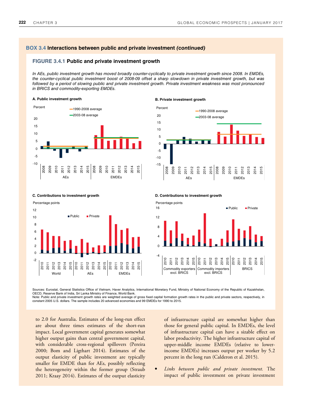#### **BOX 3.4 Interactions between public and private investment (continued)**

#### **FIGURE 3.4.1 Public and private investment growth**

In AEs, public investment growth has moved broadly counter-cyclically to private investment growth since 2008. In EMDEs, the counter-cyclical public investment boost of 2008-09 offset a sharp slowdown in private investment growth, but was followed by a period of slowing public and private investment growth. Private investment weakness was most pronounced in BRICS and commodity-exporting EMDEs.

#### **A. Public investment growth B. Private investment growth**





**C. Contributions to investment growth D. Contributions to investment growth**





Sources: Eurostat, General Statistics Office of Vietnam, Haver Analytics, International Monetary Fund, Ministry of National Economy of the Republic of Kazakhstan, OECD, Reserve Bank of India, Sri Lanka Ministry of Finance, World Bank.

Note: Public and private investment growth rates are weighted average of gross fixed capital formation growth rates in the public and private sectors, respectively, in<br>constant 2005 U.S. dollars. The sample includes 20 adv

to 2.0 for Australia. Estimates of the long-run effect are about three times estimates of the short-run impact. Local government capital generates somewhat higher output gains than central government capital, with considerable cross-regional spillovers (Pereira 2000; Bom and Ligthart 2014). Estimates of the output elasticity of public investment are typically smaller for EMDE than for AEs, possibly reflecting the heterogeneity within the former group (Straub 2011; Kraay 2014). Estimates of the output elasticity

of infrastructure capital are somewhat higher than those for general public capital. In EMDEs, the level of infrastructure capital can have a sizable effect on labor productivity. The higher infrastructure capital of upper-middle income EMDEs (relative to lowerincome EMDEs) increases output per worker by 5.2 percent in the long run (Calderon et al. 2015).

• *Links between public and private investment.* The impact of public investment on private investment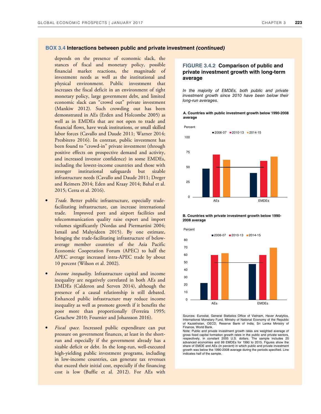#### **BOX 3.4 Interactions between public and private investment (continued)**

depends on the presence of economic slack, the stances of fiscal and monetary policy, possible financial market reactions, the magnitude of investment needs as well as the institutional and physical environment. Public investment that increases the fiscal deficit in an environment of tight monetary policy, large government debt, and limited economic slack can "crowd out" private investment (Mankiw 2012). Such crowding out has been demonstrated in AEs (Erden and Holcombe 2005) as well as in EMDEs that are not open to trade and financial flows, have weak institutions, or small skilled labor forces (Cavallo and Daude 2011; Warner 2014; Presbitero 2016). In contrast, public investment has been found to "crowd-in" private investment (through positive effects on prospective demand and activity, and increased investor confidence) in some EMDEs, including the lowest-income countries and those with stronger institutional safeguards but sizable infrastructure needs (Cavallo and Daude 2011; Dreger and Reimers 2014; Eden and Kraay 2014; Bahal et al. 2015; Cerra et al. 2016).

- *Trade.* Better public infrastructure, especially tradefacilitating infrastructure, can increase international trade. Improved port and airport facilities and telecommunication quality raise export and import volumes significantly (Nordas and Piermartini 2004; Ismail and Mahyideen 2015). By one estimate, bringing the trade-facilitating infrastructure of belowaverage member countries of the Asia Pacific Economic Cooperation Forum (APEC) to half the APEC average increased intra-APEC trade by about 10 percent (Wilson et al. 2002).
- *Income inequality.* Infrastructure capital and income inequality are negatively correlated in both AEs and EMDEs (Calderon and Serven 2014), although the presence of a causal relationship is still debated. Enhanced public infrastructure may reduce income inequality as well as promote growth if it benefits the poor more than proportionally (Ferreira 1995; Getachew 2010; Fournier and Johansson 2016).
- *Fiscal space.* Increased public expenditure can put pressure on government finances, at least in the shortrun and especially if the government already has a sizable deficit or debt. In the long-run, well-executed high-yielding public investment programs, including in low-income countries, can generate tax revenues that exceed their initial cost, especially if the financing cost is low (Buffie et al. 2012). For AEs with

### **FIGURE 3.4.2 Comparison of public and private investment growth with long-term average**

In the majority of EMDEs, both public and private investment growth since 2010 have been below their long-run averages.

#### **A. Countries with public investment growth below 1990-2008 average**



**B. Countries with private investment growth below 1990- 2008 average**



Sources: Eurostat, General Statistics Office of Vietnam, Haver Analytics, International Monetary Fund, Ministry of National Economy of the Republic of Kazakhstan, OECD, Reserve Bank of India, Sri Lanka Ministry of Finance, World Bank.

Note: Public and private investment growth rates are weighted average of gross fixed capital formation growth rates in the public and private sectors, respectively, in constant 2005 U.S. dollars. The sample includes 20 advanced economies and 99 EMDEs for 1990 to 2015. Figures show the share of EMDE and AEs (in percent) in which public and private investment growth was below the 1990-2008 average during the periods specified. Line indicates half of the sample.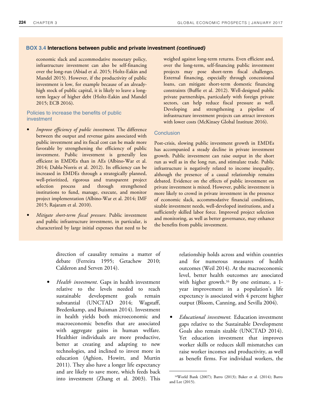#### **BOX 3.4 Interactions between public and private investment (continued)**

economic slack and accommodative monetary policy, infrastructure investment can also be self-financing over the long-run (Abiad et al. 2015; Holtz-Eakin and Mandel 2015). However, if the productivity of public investment is low, for example because of an alreadyhigh stock of public capital, it is likely to leave a longterm legacy of higher debt (Holtz-Eakin and Mandel 2015; ECB 2016).

#### Policies to increase the benefits of public investment

- *Improve efficiency of public investment.* The difference between the output and revenue gains associated with public investment and its fiscal cost can be made more favorable by strengthening the efficiency of public investment. Public investment is generally less efficient in EMDEs than in AEs (Albino-War et al. 2014; Dabla-Norris et al. 2012). Its efficiency can be increased in EMDEs through a strategically planned, well-prioritized, rigorous and transparent project selection process and through strengthened institutions to fund, manage, execute, and monitor project implementation (Albino-War et al. 2014; IMF 2015; Rajaram et al. 2010).
- *Mitigate short-term fiscal pressure.* Public investment and public infrastructure investment, in particular, is characterized by large initial expenses that need to be

weighed against long-term returns. Even efficient and, over the long-term, self-financing public investment projects may pose short-term fiscal challenges. External financing, especially through concessional loans, can mitigate short-term domestic financing constraints (Buffie et al. 2012). Well-designed public private partnerships, particularly with foreign private sectors, can help reduce fiscal pressure as well. Developing and strengthening a pipeline of infrastructure investment projects can attract investors with lower costs (McKinsey Global Institute 2016).

#### **Conclusion**

Post-crisis, slowing public investment growth in EMDEs has accompanied a steady decline in private investment growth. Public investment can raise output in the short run as well as in the long run, and stimulate trade. Public infrastructure is negatively related to income inequality, although the presence of a causal relationship remains debated. Evidence on the effects of public investment on private investment is mixed. However, public investment is more likely to crowd in private investment in the presence of economic slack, accommodative financial conditions, sizable investment needs, well-developed institutions, and a sufficiently skilled labor force. Improved project selection and monitoring, as well as better governance, may enhance the benefits from public investment.

direction of causality remains a matter of debate (Ferreira 1995; Getachew 2010; Calderon and Serven 2014).

• *Health investment*. Gaps in health investment relative to the levels needed to reach sustainable development goals remain substantial (UNCTAD 2014; Wagstaff, Bredenkamp, and Buisman 2014). Investment in health yields both microeconomic and macroeconomic benefits that are associated with aggregate gains in human welfare. Healthier individuals are more productive, better at creating and adapting to new technologies, and inclined to invest more in education (Aghion, Howitt, and Murtin 2011). They also have a longer life expectancy and are likely to save more, which feeds back into investment (Zhang et al. 2003). This

relationship holds across and within countries and for numerous measures of health outcomes (Weil 2014). At the macroeconomic level, better health outcomes are associated with higher growth.<sup>16</sup> By one estimate, a 1year improvement in a population's life expectancy is associated with 4 percent higher output (Bloom, Canning, and Sevilla 2004).

• *Educational investment.* Education investment gaps relative to the Sustainable Development Goals also remain sizable (UNCTAD 2014). Yet education investment that improves worker skills or reduces skill mismatches can raise worker incomes and productivity, as well as benefit firms. For individual workers, the

<sup>16</sup>World Bank (2007); Barro (2013); Baker et al. (2014); Barro and Lee (2015).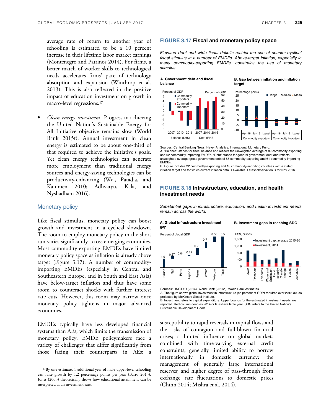average rate of return to another year of schooling is estimated to be a 10 percent increase in their lifetime labor market earnings (Montenegro and Patrinos 2014). For firms, a better match of worker skills to technological needs accelerates firms' pace of technology absorption and expansion (Winthrop et al. 2013). This is also reflected in the positive impact of education investment on growth in macro-level regressions.<sup>17</sup>

• *Clean energy investment.* Progress in achieving the United Nation's Sustainable Energy for All Initiative objective remains slow (World Bank 2015f). Annual investment in clean energy is estimated to be about one-third of that required to achieve the initiative's goals. Yet clean energy technologies can generate more employment than traditional energy sources and energy-saving technologies can be productivity-enhancing (Wei, Patadia, and Kammen 2010; Adhvaryu, Kala, and Nyshadham 2016).

#### Monetary policy

Like fiscal stimulus, monetary policy can boost growth and investment in a cyclical slowdown. The room to employ monetary policy in the short run varies significantly across emerging economies. Most commodity-exporting EMDEs have limited monetary policy space as inflation is already above target (Figure 3.17). A number of commodityimporting EMDEs (especially in Central and Southeastern Europe, and in South and East Asia) have below-target inflation and thus have some room to counteract shocks with further interest rate cuts. However, this room may narrow once monetary policy tightens in major advanced economies.

EMDEs typically have less developed financial systems than AEs, which limits the transmission of monetary policy. EMDE policymakers face a variety of challenges that differ significantly from those facing their counterparts in AEs: a

#### **FIGURE 3.17 Fiscal and monetary policy space**

**A. Government debt and fiscal** 

Elevated debt and wide fiscal deficits restrict the use of counter-cyclical fiscal stimulus in a number of EMDEs. Above-target inflation, especially in many commodity-exporting EMDEs, constrains the use of monetary stimulus.

**target balance** -10 -5  $\Omega$ 5 10 15 20 25 Apr-16 Jul-16 Latest Apr-16 Jul-16 Lates Commodity exporters Commodity importers Range - Median • Mean Percentage points -8 -6 -4 -2 0  $\circ$ 4 6 2007 2010 2016 Balance (LHS) Commodity exporters ■ Commodity importers Percent of GDP  $\Omega$ 10 20 30 40 50 60 Percent of GDP 2007 2010 2016 Debt (RHS)

Sources: Central Banking News, Haver Analytics, International Monetary Fund. A. "Balance" stands for fiscal balance and reflects the unweighted average of 89 commodity-exporting and 62 commodity-importing EMDEs. "Debt" stands for general government debt and reflects unweighted average gross government debt of 86 commodity-exporting and 61 commodity-importing EMDEs.

B. Figure includes 22 commodity-exporting and 18 commodity-importing countries with a stated inflation target and for which current inflation data is available. Latest observation is for Nov 2016.

#### **FIGURE 3.18 Infrastructure, education, and health investment needs**

Substantial gaps in infrastructure, education, and health investment needs remain across the world.



Sources: UNCTAD (2014), World Bank (2016b), World Bank estimates.

A. The figure shows global investment in infrastructure (as percent of GDP) required over 2015-30, as projected by McKinsey Global Institute. B. Investment refers to capital expenditure. Upper bounds for the estimated investment needs are

reported. Red column denotes 2014 or latest available year. SDG refers to the United Nation's Sustainable Development Goals.

susceptibility to rapid reversals in capital flows and the risks of contagion and full-blown financial crises; a limited influence on global markets combined with time-varying external credit constraints; generally limited ability to borrow internationally in domestic currency; the management of generally large international reserves; and higher degree of pass-through from exchange rate fluctuations to domestic prices (Chinn 2014; Mishra et al. 2014).

**B. Gap between inflation and inflation** 

<sup>17</sup>By one estimate, 1 additional year of male upper-level schooling can raise growth by 1.2 percentage points per year (Barro 2013). Jones (2003) theoretically shows how educational attainment can be interpreted as an investment rate.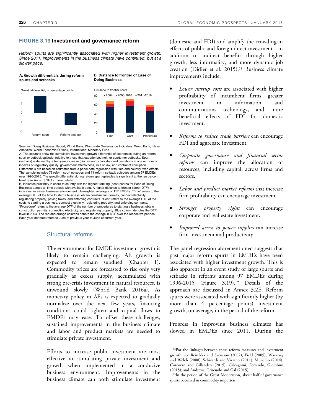#### **FIGURE 3.19 Investment and governance reform**

Reform spurts are significantly associated with higher investment growth. Since 2011, improvements in the business climate have continued, but at a slower pace.



Sources: Doing Business Report, World Bank; Worldwide Governance Indicators, World Bank; Haver Analytics; World Economic Outlook, International Monetary Fund.

A. The columns show the cumulative investment growth differential of economies during an reform spurt or setback episode, relative to those that experienced neither spurts nor setbacks. Spurt (setback) is defined by a two year increase (decrease) by two standard deviations in one or more of indexes of regulatory quality, government effectivness, rule of law, and control of corruption. Differentials are based on estimates from a panel data regression with time and country fixed effects. The sample includes 75 reform spurt episodes and 71 reform setback episodes among 97 EMDEs over 1996-2015. The growth differential during reform spurt episodes is significant at the ten percent level. See Annex 3.2E for more details.

B. Indicates proximity in score to country with the highest-ranking (best) scores for Ease of Doing Business across all time periods with available data. A higher distance to frontier score (DTF) indicates an easier business environment. Unweighted averages of 117 EMDEs. "Time" refers to the average DTF of the time to start a business, obtain construction permits, connect electricity, registering property, paying taxes, and enforcing contracts. "Cost" refers to the average DTF of the costs to starting a business, connect electricity, registering property, and enforcing contracts. "Procedure" refers to the average DTF of the number of procedures to starting a business, obtain construction permits, connecting electricity, and registering property. Blue column denotes the DTF level in 2004. The red and orange columns denote the change in DTF over the respective periods. Each year denoted refers to June of previous year to June of current year.

## Structural reforms

The environment for EMDE investment growth is likely to remain challenging. AE growth is expected to remain subdued (Chapter 1). Commodity prices are forecasted to rise only very gradually as excess supply, accumulated with strong pre-crisis investment in natural resources, is unwound slowly (World Bank 2016a). As monetary policy in AEs is expected to gradually normalize over the next few years, financing conditions could tighten and capital flows to EMDEs may ease. To offset these challenges, sustained improvements in the business climate and labor and product markets are needed to stimulate private investment.

Efforts to increase public investment are most effective in stimulating private investment and growth when implemented in a conducive business environment. Improvements in the business climate can both stimulate investment

(domestic and FDI) and amplify the crowding-in effects of public and foreign direct investment—in addition to indirect benefits through higher growth, less informality, and more dynamic job creation (Didier et al. 2015).<sup>18</sup> Business climate improvements include:

- *Lower startup costs* are associated with higher profitability of incumbent firms, greater investment in information and communications technology, and more beneficial effects of FDI for domestic investment.
- *Reforms to reduce trade barriers* can encourage FDI and aggregate investment.
- *Corporate governance and financial sector reforms* can improve the allocation of resources, including capital, across firms and sectors.
- *Labor and product market reforms* that increase firm profitability can encourage investment.
- *Stronger property rights* can encourage corporate and real estate investment.
- *Improved access to power supplies* can increase firm investment and productivity.

The panel regression aforementioned suggests that past major reform spurts in EMDEs have been associated with higher investment growth. This is also apparent in an event study of large spurts and setbacks in reforms among 97 EMDEs during 1996-2015 (Figure 3.19).19 Details of the approach are discussed in Annex 3.2E. Reform spurts were associated with significantly higher (by more than 4 percentage points) investment growth, on average, in the period of the reform.

Progress in improving business climates has slowed in EMDEs since 2011. During the

<sup>18</sup>For the linkages between these reform measures and investment growth, see Reinikka and Svensson (2002); Field (2005); Wacziarg and Welch (2008); Schivardi and Viviano (2011); Munemo (2014); Corcoran and Gillanders (2015); Calcagnini, Ferrando, Giombini (2015); and Andrews, Criscuolo and Gal (2015).

<sup>19</sup>In the period of the Great Moderation, about half of governance spurts occurred in commodity importers.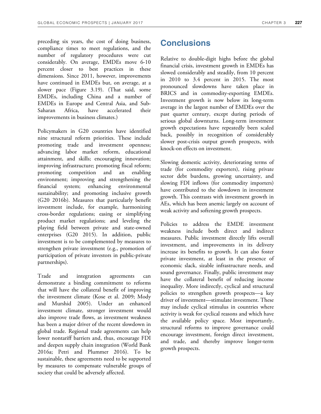preceding six years, the cost of doing business, compliance times to meet regulations, and the number of regulatory procedures were cut considerably. On average, EMDEs move 6-10 percent closer to best practices in these dimensions. Since 2011, however, improvements have continued in EMDEs but, on average, at a slower pace (Figure 3.19). (That said, some EMDEs, including China and a number of EMDEs in Europe and Central Asia, and Sub-Saharan Africa, have accelerated their improvements in business climates.)

Policymakers in G20 countries have identified nine structural reform priorities. These include promoting trade and investment openness; advancing labor market reform, educational attainment, and skills; encouraging innovation; improving infrastructure; promoting fiscal reform; promoting competition and an enabling environment; improving and strengthening the financial system; enhancing environmental sustainability; and promoting inclusive growth (G20 2016b). Measures that particularly benefit investment include, for example, harmonizing cross-border regulations; easing or simplifying product market regulations; and leveling the playing field between private and state-owned enterprises (G20 2015). In addition, public investment is to be complemented by measures to strengthen private investment (e.g., promotion of participation of private investors in public-private partnerships).

Trade and integration agreements can demonstrate a binding commitment to reforms that will have the collateral benefit of improving the investment climate (Kose et al. 2009; Mody and Murshid 2005). Under an enhanced investment climate, stronger investment would also improve trade flows, as investment weakness has been a major driver of the recent slowdown in global trade. Regional trade agreements can help lower nontariff barriers and, thus, encourage FDI and deepen supply chain integration (World Bank 2016a; Petri and Plummer 2016). To be sustainable, these agreements need to be supported by measures to compensate vulnerable groups of society that could be adversely affected.

# **Conclusions**

Relative to double-digit highs before the global financial crisis, investment growth in EMDEs has slowed considerably and steadily, from 10 percent in 2010 to 3.4 percent in 2015. The most pronounced slowdowns have taken place in BRICS and in commodity-exporting EMDEs. Investment growth is now below its long-term average in the largest number of EMDEs over the past quarter century, except during periods of serious global downturns. Long-term investment growth expectations have repeatedly been scaled back, possibly in recognition of considerably slower post-crisis output growth prospects, with knock-on effects on investment.

Slowing domestic activity, deteriorating terms of trade (for commodity exporters), rising private sector debt burdens, growing uncertainty, and slowing FDI inflows (for commodity importers) have contributed to the slowdown in investment growth. This contrasts with investment growth in AEs, which has been anemic largely on account of weak activity and softening growth prospects.

Policies to address the EMDE investment weakness include both direct and indirect measures. Public investment directly lifts overall investment, and improvements in its delivery increase its benefits to growth. It can also foster private investment, at least in the presence of economic slack, sizable infrastructure needs, and sound governance. Finally, public investment may have the collateral benefit of reducing income inequality. More indirectly, cyclical and structural policies to strengthen growth prospects—a key driver of investment—stimulate investment. These may include cyclical stimulus in countries where activity is weak for cyclical reasons and which have the available policy space. Most importantly, structural reforms to improve governance could encourage investment, foreign direct investment, and trade, and thereby improve longer-term growth prospects.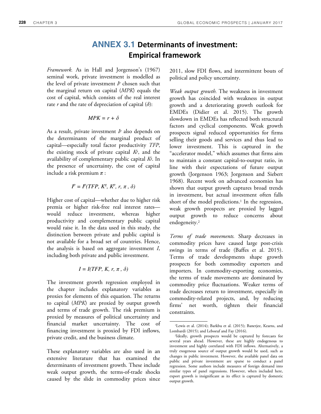# **ANNEX 3.1 Determinants of investment: Empirical framework**

*Framework.* As in Hall and Jorgenson's (1967) seminal work, private investment is modelled as the level of private investment *I*<sup>p</sup> chosen such that the marginal return on capital (*MPK*) equals the cost of capital, which consists of the real interest rate *r* and the rate of depreciation of capital (*δ*):

$$
MPK = r + \delta
$$

As a result, private investment *I <sup>p</sup>* also depends on the determinants of the marginal product of capital—especially total factor productivity *TFP*, the existing stock of private capital *K<sup>p</sup>* , and the availability of complementary public capital *K<sup>g</sup>* . In the presence of uncertainty, the cost of capital include a risk premium *π* :

$$
I^{p} = I^{p}(TFP, K^{g}, K^{p}, r, \pi, \delta)
$$

Higher cost of capital—whether due to higher risk premia or higher risk-free real interest rates would reduce investment, whereas higher productivity and complementary public capital would raise it. In the data used in this study, the distinction between private and public capital is not available for a broad set of countries. Hence, the analysis is based on aggregate investment *I*, including both private and public investment.

$$
I = I(TFP, K, r, \pi, \delta)
$$

The investment growth regression employed in the chapter includes explanatory variables as proxies for elements of this equation. The returns to capital (*MPK*) are proxied by output growth and terms of trade growth. The risk premium is proxied by measures of political uncertainty and financial market uncertainty. The cost of financing investment is proxied by FDI inflows, private credit, and the business climate.

These explanatory variables are also used in an extensive literature that has examined the determinants of investment growth. These include weak output growth, the terms-of-trade shocks caused by the slide in commodity prices since

2011, slow FDI flows, and intermittent bouts of political and policy uncertainty.

*Weak output growth.* The weakness in investment growth has coincided with weakness in output growth and a deteriorating growth outlook for EMDEs (Didier et al. 2015). The growth slowdown in EMDEs has reflected both structural factors and cyclical components. Weak growth prospects signal reduced opportunities for firms selling their goods and services and thus lead to lower investment. This is captured in the "accelerator model," which assumes that firms aim to maintain a constant capital-to-output ratio, in line with their expectations of future output growth (Jorgenson 1963; Jorgenson and Siebert 1968). Recent work on advanced economies has shown that output growth captures broad trends in investment, but actual investment often falls short of the model predictions.<sup>1</sup> In the regression, weak growth prospects are proxied by lagged output growth to reduce concerns about endogeneity.<sup>2</sup>

*Terms of trade movements.* Sharp decreases in commodity prices have caused large post-crisis swings in terms of trade (Baffes et al. 2015). Terms of trade developments shape growth prospects for both commodity exporters and importers. In commodity-exporting economies, the terms of trade movements are dominated by commodity price fluctuations. Weaker terms of trade decreases return to investment, especially in commodity-related projects, and, by reducing firms' net worth, tighten their financial constraints.

<sup>&</sup>lt;sup>1</sup>Lewis et al. (2014); Barkbu et al. (2015); Banerjee, Kearns, and Lombardi (2015); and Leboeuf and Fay (2016).

<sup>2</sup> Ideally, growth prospects would be captured by forecasts for several years ahead. However, these are highly endogenous to investment and highly correlated with FDI inflows. Alternatively, a truly exogenous source of output growth would be used, such as changes in public investment. However, the available panel data on public and private investment are sparse to conduct a panel regression. Some authors include measures of foreign demand into similar types of panel regressions. However, when included here, export growth is insignificant as its effect is captured by domestic output growth.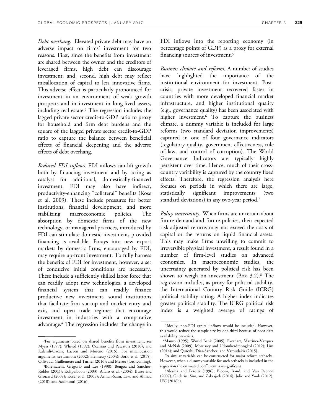*Debt overhang.* Elevated private debt may have an adverse impact on firms' investment for two reasons. First, since the benefits from investment are shared between the owner and the creditors of leveraged firms, high debt can discourage investment; and, second, high debt may reflect misallocation of capital to less innovative firms. This adverse effect is particularly pronounced for investment in an environment of weak growth prospects and in investment in long-lived assets, including real estate.<sup>3</sup> The regression includes the lagged private sector credit-to-GDP ratio to proxy for household and firm debt burdens and the square of the lagged private sector credit-to-GDP ratio to capture the balance between beneficial effects of financial deepening and the adverse effects of debt overhang.

*Reduced FDI inflows.* FDI inflows can lift growth both by financing investment and by acting as catalyst for additional, domestically-financed investment. FDI may also have indirect, productivity-enhancing "collateral" benefits (Kose et al. 2009). These include pressures for better institutions, financial development, and more stabilizing macroeconomic policies. The absorption by domestic firms of the new technology, or managerial practices, introduced by FDI can stimulate domestic investment, provided financing is available. Forays into new export markets by domestic firms, encouraged by FDI, may require up-front investment. To fully harness the benefits of FDI for investment, however, a set of conducive initial conditions are necessary. These include a sufficiently skilled labor force that can readily adopt new technologies, a developed financial system that can readily finance productive new investment, sound institutions that facilitate firm startup and market entry and exit, and open trade regimes that encourage investment in industries with a comparative advantage.<sup>4</sup> The regression includes the change in

<sup>3</sup>For arguments based on shared benefits from investment, see Myers (1977); Whited (1992); Occhino and Pescatori (2010); and Kalemli-Ozcan, Laeven and Moreno (2015). For misallocation arguments, see Lamont (2002); Hennessy (2004); Borio et al. (2015); Ollivaud, Guillemette and Turner (2016); and Melzer (forthcoming).

FDI inflows into the reporting economy (in percentage points of GDP) as a proxy for external financing sources of investment.<sup>5</sup>

*Business climate and reforms.* A number of studies have highlighted the importance of the institutional environment for investment. Postcrisis, private investment recovered faster in countries with more developed financial market infrastructure, and higher institutional quality (e.g., governance quality) has been associated with higher investment.<sup>6</sup> To capture the business climate, a dummy variable is included for large reforms (two standard deviation improvements) captured in one of four governance indicators (regulatory quality, government effectiveness, rule of law, and control of corruption). The World Governance Indicators are typically highly persistent over time. Hence, much of their crosscountry variability is captured by the country fixed effects. Therefore, the regression analysis here focuses on periods in which there are large, statistically significant improvements (two standard deviations) in any two-year period. $^7$ 

*Policy uncertainty.* When firms are uncertain about future demand and future policies, their expected risk-adjusted returns may not exceed the costs of capital or the returns on liquid financial assets. This may make firms unwilling to commit to irreversible physical investment, a result found in a number of firm-level studies on advanced economies. In macroeconomic studies, the uncertainty generated by political risk has been shown to weigh on investment (Box 3.2).<sup>8</sup> The regression includes, as proxy for political stability, the International Country Risk Guide (ICRG) political stability rating. A higher index indicates greater political stability. The ICRG political risk index is a weighted average of ratings of

<sup>4</sup>Borensztein, Gregorio and Lee (1998); Bengoa and Sanchez-Robles (2003); Kohpaiboon (2003); Alfaro et al. (2004); Busse and Groizard (2008); Kose, et al. (2009); Azman-Saini, Law, and Ahmad (2010); and Azzimonti (2016).

<sup>5</sup> Ideally, non-FDI capital inflows would be included. However, this would reduce the sample size by one-third because of poor data availability pre-crisis.

<sup>6</sup>Mauro (1995); World Bank (2005); Everhart, Martinez-Vazquez and McNab (2009); Morrissey and Udomkerdmongkol (2012); Lim (2014); and Qureshi, Diaz-Sanchez, and Varoudakis (2015).

<sup>7</sup>A similar variable can be constructed for major reform setbacks. However, when a dummy variable for such setbacks is included in the regression the estimated coefficient is insignificant.

<sup>8</sup>Alesina and Perotti (1996); Bloom, Bond, and Van Reenen (2007); Gilchrist, Sim, and Zakrajsek (2014); Julio and Yook (2012); IFC (2016b).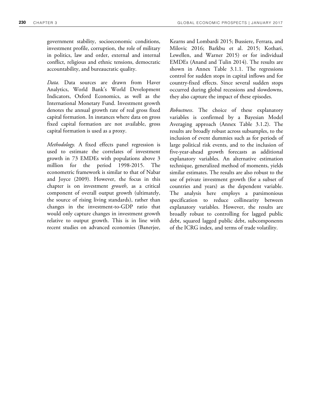government stability, socioeconomic conditions, investment profile, corruption, the role of military in politics, law and order, external and internal conflict, religious and ethnic tensions, democratic accountability, and bureaucratic quality.

*Data.* Data sources are drawn from Haver Analytics, World Bank's World Development Indicators, Oxford Economics, as well as the International Monetary Fund. Investment growth denotes the annual growth rate of real gross fixed capital formation. In instances where data on gross fixed capital formation are not available, gross capital formation is used as a proxy.

*Methodology.* A fixed effects panel regression is used to estimate the correlates of investment growth in 73 EMDEs with populations above 3 million for the period 1998-2015. The econometric framework is similar to that of Nabar and Joyce (2009). However, the focus in this chapter is on investment *growth*, as a critical component of overall output growth (ultimately, the source of rising living standards), rather than changes in the investment-to-GDP ratio that would only capture changes in investment growth relative to output growth. This is in line with recent studies on advanced economies (Banerjee,

Kearns and Lombardi 2015; Bussiere, Ferrara, and Milovic 2016; Barkbu et al. 2015; Kothari, Lewellen, and Warner 2015) or for individual EMDEs (Anand and Tulin 2014). The results are shown in Annex Table 3.1.1. The regressions control for sudden stops in capital inflows and for country-fixed effects. Since several sudden stops occurred during global recessions and slowdowns, they also capture the impact of these episodes.

*Robustness*. The choice of these explanatory variables is confirmed by a Bayesian Model Averaging approach (Annex Table 3.1.2). The results are broadly robust across subsamples, to the inclusion of event dummies such as for periods of large political risk events, and to the inclusion of five-year-ahead growth forecasts as additional explanatory variables. An alternative estimation technique, generalized method of moments, yields similar estimates. The results are also robust to the use of private investment growth (for a subset of countries and years) as the dependent variable. The analysis here employs a parsimonious specification to reduce collinearity between explanatory variables. However, the results are broadly robust to controlling for lagged public debt, squared lagged public debt, subcomponents of the ICRG index, and terms of trade volatility.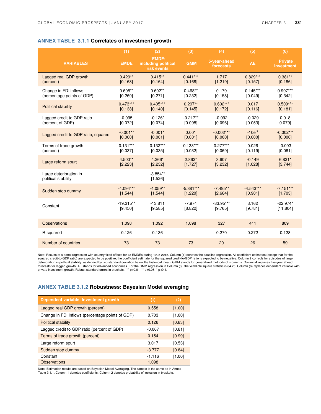## **ANNEX TABLE 3.1.1 Correlates of investment growth**

|                                               | (1)         | (2)                                                | (3)         | (4)                       | (5)         | (6)                          |
|-----------------------------------------------|-------------|----------------------------------------------------|-------------|---------------------------|-------------|------------------------------|
| <b>VARIABLES</b>                              | <b>EMDE</b> | <b>EMDE:</b><br>including political<br>risk events | <b>GMM</b>  | 5-year-ahead<br>forecasts | <b>AE</b>   | <b>Private</b><br>investment |
| Lagged real GDP growth                        | $0.429**$   | $0.415**$                                          | $0.441***$  | 1.717                     | $0.829***$  | $0.381**$                    |
| (percent)                                     | [0.163]     | [0.164]                                            | [0.168]     | [1.219]                   | [0.157]     | [0.186]                      |
| Change in FDI inflows                         | $0.605**$   | $0.602**$                                          | $0.468**$   | 0.179                     | $0.145***$  | $0.997***$                   |
| (percentage points of GDP)                    | [0.269]     | [0.271]                                            | [0.232]     | [0.158]                   | [0.049]     | [0.342]                      |
| <b>Political stability</b>                    | $0.473***$  | $0.405***$                                         | $0.297**$   | $0.602***$                | 0.017       | $0.509***$                   |
|                                               | [0.138]     | [0.140]                                            | [0.145]     | [0.172]                   | [0.116]     | [0.181]                      |
| Lagged credit to GDP ratio                    | $-0.095$    | $-0.126*$                                          | $-0.217**$  | $-0.092$                  | $-0.029$    | 0.018                        |
| (percent of GDP)                              | [0.072]     | [0.074]                                            | [0.098]     | [0.096]                   | [0.053]     | 0.079                        |
| Lagged credit to GDP ratio, squared           | $-0.001**$  | $-0.001*$                                          | 0.001       | $-0.002***$               | $-10e^{-5}$ | $-0.002***$                  |
|                                               | [0.000]     | [0.001]                                            | [0.001]     | [0.000]                   | [0.000]     | [0.000]                      |
| Terms of trade growth                         | $0.131***$  | $0.132***$                                         | $0.133***$  | $0.277***$                | 0.026       | $-0.093$                     |
| (percent)                                     | [0.037]     | [0.035]                                            | [0.032]     | [0.069]                   | [0.119]     | [0.061]                      |
| Large reform spurt                            | 4.503**     | 4.266*                                             | $2.862*$    | 3.607                     | $-0.149$    | $6.831*$                     |
|                                               | [2.223]     | [2.232]                                            | [1.727]     | [3.232]                   | [1.028]     | [3.744]                      |
| Large deterioration in<br>political stability |             | $-3.854**$<br>[1.526]                              |             |                           |             |                              |
| Sudden stop dummy                             | $-4.094***$ | $-4.059**$                                         | $-5.381***$ | $-7.495**$                | $-4.543***$ | $-7.151***$                  |
|                                               | [1.544]     | [1.544]                                            | [1.220]     | [2.664]                   | [0.901]     | [1.703]                      |
| Constant                                      | $-19.315**$ | $-13.811$                                          | $-7.974$    | $-33.95***$               | 3.162       | $-22.974*$                   |
|                                               | [9.450]     | [9.585]                                            | [8.822]     | [9.765]                   | [9.781]     | [11.804]                     |
| <b>Observations</b>                           | 1,098       | 1,092                                              | 1,098       | 327                       | 411         | 809                          |
| R-squared                                     | 0.126       | 0.136                                              |             | 0.270                     | 0.272       | 0.128                        |
| Number of countries                           | 73          | 73                                                 | 73          | 20                        | 26          | 59                           |

.<br>Note: Results of a panel regression with country fixed effects for 73 EMDEs during 1998-2015. Column (1) denotes the baseline regression. All coefficient estimates (except that for the<br>squared credit-to-GDP ratio) are ex deterioration in political stability, as defined by two standard deviation below the historical mean. GMM stands for generalized methods of moments. Column 4 replaces five-year ahead forecasts for lagged growth. AE stands for advanced economies. For the GMM regression in Column (3), the Wald chi square statistic is 84.25. Column (6) replaces dependent variable with<br>private investment growth. Robust sta

#### **ANNEX TABLE 3.1.2 Robustness: Bayesian Model averaging**

| Dependent variable: Investment growth            | (1)      | (2)      |
|--------------------------------------------------|----------|----------|
| Lagged real GDP growth (percent)                 | 0.558    | [1.00]   |
| Change in FDI inflows (percentage points of GDP) | 0.703    | [1.00]   |
| <b>Political stability</b>                       | 0.126    | [0.83]   |
| Lagged credit to GDP ratio (percent of GDP)      | $-0.067$ | [0.81]   |
| Terms of trade growth (percent)                  | 0.154    | [0.99]   |
| Large reform spurt                               | 3.017    | [0.53]   |
| Sudden stop dummy                                | $-3.777$ | [0.84]   |
| Constant                                         | $-1.116$ | $[1.00]$ |
| <b>Observations</b>                              | 1,098    |          |

Note: Estimation results are based on Bayesian Model Averaging. The sample is the same as in Annex Table 3.1.1. Column 1 denotes coefficients. Column 2 denotes probability of inclusion in brackets.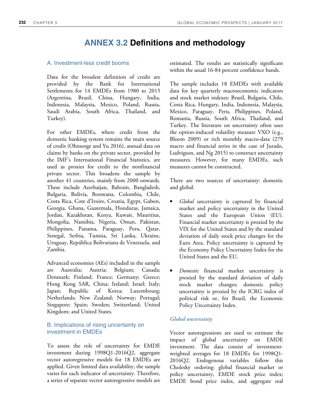# **ANNEX 3.2 Definitions and methodology**

# A. Investment-less credit booms

Data for the broadest definition of credit are provided by the Bank for International Settlements for 14 EMDEs from 1980 to 2015 (Argentina, Brazil, China, Hungary, India, Indonesia, Malaysia, Mexico, Poland, Russia, Saudi Arabia, South Africa, Thailand, and Turkey).

For other EMDEs, where credit from the domestic banking system remains the main source of credit (Ohnsorge and Yu 2016), annual data on claims by banks on the private sector, provided by the IMF's International Financial Statistics, are used as proxies for credit to the nonfinancial private sector. This broadens the sample by another 41 countries, mainly from 2000 onwards. These include Azerbaijan, Bahrain, Bangladesh, Bulgaria, Bolivia, Botswana, Colombia, Chile, Costa Rica, Cote d'Ivoire, Croatia, Egypt, Gabon, Georgia, Ghana, Guatemala, Honduras, Jamaica, Jordan, Kazakhstan, Kenya, Kuwait, Mauritius, Mongolia, Namibia, Nigeria, Oman, Pakistan, Philippines, Panama, Paraguay, Peru, Qatar, Senegal, Serbia, Tunisia, Sri Lanka, Ukraine, Uruguay, República Bolivariana de Venezuela, and Zambia.

Advanced economies (AEs) included in the sample are Australia; Austria; Belgium; Canada; Denmark; Finland; France; Germany; Greece; Hong Kong SAR, China; Ireland; Israel; Italy; Japan; Republic of Korea; Luxembourg; Netherlands; New Zealand; Norway; Portugal; Singapore; Spain; Sweden; Switzerland; United Kingdom; and United States.

# B. Implications of rising uncertainty on investment in EMDEs

To assess the role of uncertainty for EMDE investment during 1998Q1-2016Q2, aggregate vector autoregressive models for 18 EMDEs are applied. Given limited data availability, the sample varies for each indicator of uncertainty. Therefore, a series of separate vector autoregressive models are

estimated. The results are statistically significant within the usual 16-84 percent confidence bands.

The sample includes 18 EMDEs with available data for key quarterly macroeconomic indicators and stock market indexes: Brazil, Bulgaria, Chile, Costa Rica, Hungary, India, Indonesia, Malaysia, Mexico, Paraguay, Peru, Philippines, Poland, Romania, Russia, South Africa, Thailand, and Turkey. The literature on uncertainty often uses the option-induced volatility measure VXO (e.g., Bloom 2009) or rich monthly macro-data (279 macro and financial series in the case of Jurado, Ludvigson, and Ng 2015) to construct uncertainty measures. However, for many EMDEs, such measures cannot be constructed.

There are two sources of uncertainty: domestic and global.

- *Global* uncertainty is captured by financial market and policy uncertainty in the United States and the European Union (EU). Financial market uncertainty is proxied by the VIX for the United States and by the standard deviation of daily stock price changes for the Euro Area. Policy uncertainty is captured by the Economy Policy Uncertainty Index for the United States and the EU.
- *Domestic* financial market uncertainty is proxied by the standard deviation of daily stock market changes; domestic policy uncertainty is proxied by the ICRG index of political risk or, for Brazil, the Economic Policy Uncertainty Index.

# *Global uncertainty*

Vector autoregressions are used to estimate the impact of global uncertainty on EMDE investment. The data consist of investmentweighted averages for 18 EMDEs for 1998Q1- 2016Q2. Endogenous variables follow this Cholesky ordering: global financial market or policy uncertainty, EMDE stock price index; EMDE bond price index, and aggregate real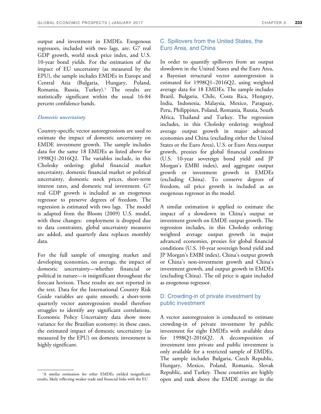output and investment in EMDEs. Exogenous regressors, included with two lags, are: G7 real GDP growth, world stock price index, and U.S. 10-year bond yields. For the estimation of the impact of EU uncertainty (as measured by the EPU), the sample includes EMDEs in Europe and Central Asia (Bulgaria, Hungary, Poland, Romania, Russia, Turkey).<sup>1</sup> The results are statistically significant within the usual 16-84 percent confidence bands.

#### *Domestic uncertainty*

Country-specific vector autoregressions are used to estimate the impact of domestic uncertainty on EMDE investment growth. The sample includes data for the same 18 EMDEs as listed above for 1998Q1-2016Q2. The variables include, in this Cholesky ordering: global financial market uncertainty, domestic financial market or political uncertainty, domestic stock prices, short-term interest rates, and domestic real investment. G7 real GDP growth is included as an exogenous regressor to preserve degrees of freedom. The regression is estimated with two lags. The model is adapted from the Bloom (2009) U.S. model, with these changes: employment is dropped due to data constraints, global uncertainty measures are added, and quarterly data replaces monthly data.

For the full sample of emerging market and developing economies, on average, the impact of domestic uncertainty—whether financial or political in nature—is insignificant throughout the forecast horizon. These results are not reported in the text. Data for the International Country Risk Guide variables are quite smooth; a short-term quarterly vector autoregression model therefore struggles to identify any significant correlations. Economic Policy Uncertainty data show more variance for the Brazilian economy; in these cases, the estimated impact of domestic uncertainty (as measured by the EPU) on domestic investment is highly significant.

# C. Spillovers from the United States, the Euro Area, and China

In order to quantify spillovers from an output slowdown in the United States and the Euro Area, a Bayesian structural vector autoregression is estimated for 1998Q1–2016Q2, using weighted average data for 18 EMDEs. The sample includes Brazil, Bulgaria, Chile, Costa Rica, Hungary, India, Indonesia, Malaysia, Mexico, Paraguay, Peru, Philippines, Poland, Romania, Russia, South Africa, Thailand and Turkey. The regression includes, in this Cholesky ordering: weighted average output growth in major advanced economies and China (excluding either the United States or the Euro Area), U.S. or Euro Area output growth, proxies for global financial conditions (U.S. 10-year sovereign bond yield and JP Morgan's EMBI index), and aggregate output growth or investment growth in EMDEs (excluding China). To conserve degrees of freedom, oil price growth is included as an exogenous regressor in the model.

A similar estimation is applied to estimate the impact of a slowdown in China's output or investment growth on EMDE output growth. The regression includes, in this Cholesky ordering: weighted average output growth in major advanced economies, proxies for global financial conditions (U.S. 10-year sovereign bond yield and JP Morgan's EMBI index), China's output growth or China's non-investment growth and China's investment growth, and output growth in EMDEs (excluding China). The oil price is again included as exogenous regressor.

# D. Crowding-in of private investment by public investment

A vector autoregression is conducted to estimate crowding-in of private investment by public investment for eight EMDEs with available data for 1998Q1-2016Q2. A decomposition of investment into private and public investment is only available for a restricted sample of EMDEs. The sample includes Bulgaria, Czech Republic, Hungary, Mexico, Poland, Romania, Slovak Republic, and Turkey. These countries are highly open and rank above the EMDE average in the

<sup>&</sup>lt;sup>1</sup>A similar estimation for other EMDEs yielded insignificant results, likely reflecting weaker trade and financial links with the EU.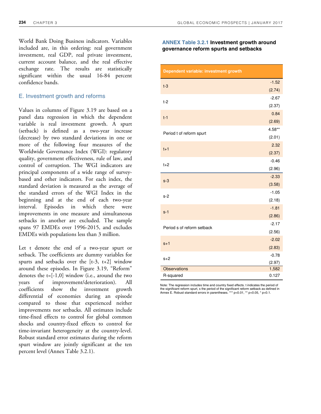World Bank Doing Business indicators. Variables included are, in this ordering: real government investment, real GDP, real private investment, current account balance, and the real effective exchange rate. The results are statistically significant within the usual 16-84 percent confidence bands.

# E. Investment growth and reforms

Values in columns of Figure 3.19 are based on a panel data regression in which the dependent variable is real investment growth. A spurt (setback) is defined as a two-year increase (decrease) by two standard deviations in one or more of the following four measures of the Worldwide Governance Index (WGI): regulatory quality, government effectiveness, rule of law, and control of corruption. The WGI indicators are principal components of a wide range of surveybased and other indicators. For each index, the standard deviation is measured as the average of the standard errors of the WGI Index in the beginning and at the end of each two-year interval. Episodes in which there were improvements in one measure and simultaneous setbacks in another are excluded. The sample spans 97 EMDEs over 1996‐2015, and excludes EMDEs with populations less than 3 million.

Let t denote the end of a two-year spurt or setback. The coefficients are dummy variables for spurts and setbacks over the [t-3, t+2] window around these episodes. In Figure 3.19, "Reform" denotes the t=[-1,0] window (i.e., around the two years of improvement/deterioration). All coefficients show the investment growth differential of economies during an episode compared to those that experienced neither improvements nor setbacks. All estimates include time-fixed effects to control for global common shocks and country-fixed effects to control for time‐invariant heterogeneity at the country‐level. Robust standard error estimates during the reform spurt window are jointly significant at the ten percent level (Annex Table 3.2.1).

## **ANNEX Table 3.2.1 Investment growth around governance reform spurts and setbacks**

| Dependent variable: investment growth |         |
|---------------------------------------|---------|
|                                       | $-1.52$ |
| $t-3$                                 | (2.74)  |
| t-2                                   | $-2.67$ |
|                                       | (2.37)  |
| $t-1$                                 | 0.84    |
|                                       | (2.69)  |
| Period t of reform spurt              | 4.58**  |
|                                       | (2.01)  |
| $t+1$                                 | 2.32    |
|                                       | (2.37)  |
| $t+2$                                 | $-0.46$ |
|                                       | (2.96)  |
| $s-3$                                 | $-2.33$ |
|                                       | (3.58)  |
| $s-2$                                 | $-1.05$ |
|                                       | (2.18)  |
| $s-1$                                 | $-1.81$ |
|                                       | (2.86)  |
| Period s of reform setback            | $-2.17$ |
|                                       | (2.56)  |
| $s+1$                                 | $-2.02$ |
|                                       | (2.83)  |
| $s+2$                                 | $-0.78$ |
|                                       | (2.97)  |
| <b>Observations</b>                   | 1,582   |
| R-squared                             | 0.127   |

Note: The regression includes time and country fixed effects. t indicates the period of the significant reform spurt, s the period of the significant reform setback as defined in Annex E. Robust standard errors in parentheses. \*\*\* p<0.01, \*\* p<0.05, \* p<0.1.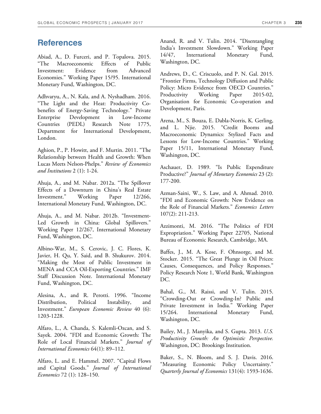# **References**

Abiad, A., D. Furceri, and P. Topalova. 2015. "The Macroeconomic Effects of Public Investment: Evidence from Advanced Economies." Working Paper 15/95. International Monetary Fund, Washington, DC.

Adhvaryu, A., N. Kala, and A. Nyshadham. 2016. "The Light and the Heat: Productivity Cobenefits of Energy-Saving Technology." Private Enterprise Development in Low-Income Countries (PEDL) Research Note 1775, Department for International Development, London.

Aghion, P., P. Howitt, and F. Murtin. 2011. "The Relationship between Health and Growth: When Lucas Meets Nelson-Phelps." *Review of Economics and Institutions* 2 (1): 1-24.

Ahuja, A., and M. Nabar. 2012a. "The Spillover Effects of a Downturn in China's Real Estate Investment." Working Paper 12/266, International Monetary Fund, Washington, DC.

Ahuja, A., and M. Nabar. 2012b. "Investment-Led Growth in China: Global Spillovers." Working Paper 12/267, International Monetary Fund, Washington, DC.

Albino-War, M., S. Cerovic, J. C. Flores, K. Javier, H. Qu, Y. Said, and B. Shukurov. 2014. "Making the Most of Public Investment in MENA and CCA Oil-Exporting Countries." IMF Staff Discussion Note. International Monetary Fund, Washington, DC.

Alesina, A., and R. Perotti. 1996. "Income Distribution, Political Instability, and Investment." *European Economic Review* 40 (6): 1203-1228.

Alfaro, L., A. Chanda, S. Kalemli-Ozcan, and S. Sayek. 2004. "FDI and Economic Growth: The Role of Local Financial Markets." *Journal of International Economics* 64(1): 89–112.

Alfaro, L. and E. Hammel. 2007. "Capital Flows and Capital Goods." *Journal of International Economics* 72 (1): 128–150.

Anand, R. and V. Tulin. 2014. "Disentangling India's Investment Slowdown." Working Paper 14/47, International Monetary Fund, Washington, DC.

Andrews, D., C. Criscuolo, and P. N. Gal. 2015. "Frontier Firms, Technology Diffusion and Public Policy: Micro Evidence from OECD Countries." Productivity Working Paper 2015-02, Organisation for Economic Co-operation and Development, Paris.

Arena, M., S. Bouza, E. Dabla-Norris, K. Gerling, and L. Njie. 2015. "Credit Booms and Macroeconomic Dynamics: Stylized Facts and Lessons for Low-Income Countries." Working Paper 15/11, International Monetary Fund, Washington, DC.

Aschauer, D. 1989. "Is Public Expenditure Productive?" *Journal of Monetary Economics* 23 (2): 177-200.

Azman-Saini, W., S. Law, and A. Ahmad. 2010. "FDI and Economic Growth: New Evidence on the Role of Financial Markets." *Economics Letters* 107(2): 211-213.

Azzimonti, M. 2016. "The Politics of FDI Expropriation." Working Paper 22705, National Bureau of Economic Research, Cambridge, MA.

Baffes, J., M. A. Kose, F. Ohnsorge, and M. Stocker. 2015. "The Great Plunge in Oil Prices: Causes, Consequences, and Policy Responses." Policy Research Note 1, World Bank, Washington DC.

Bahal, G., M. Raissi, and V. Tulin. 2015. "Crowding-Out or Crowding-In? Public and Private Investment in India." Working Paper 15/264. International Monetary Fund, Washington, DC.

Bailey, M., J. Manyika, and S. Gupta. 2013. *U.S. Productivity Growth: An Optimistic Perspective.* Washington, DC: Brookings Institution.

Baker, S., N. Bloom, and S. J. Davis. 2016. "Measuring Economic Policy Uncertainty." *Quarterly Journal of Economics* 131(4): 1593-1636.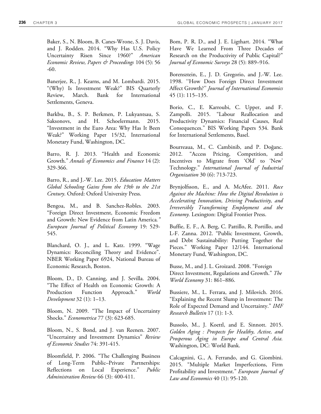Baker, S., N. Bloom, B. Canes-Wrone, S. J. Davis, and J. Rodden. 2014. "Why Has U.S. Policy Uncertainty Risen Since 1960?" *American Economic Review, Papers & Proceedings* 104 (5): 56 -60.

Banerjee, R., J. Kearns, and M. Lombardi. 2015. "(Why) Is Investment Weak?" BIS Quarterly Review, March. Bank for International Settlements, Geneva.

Barkbu, B., S. P. Berkmen, P. Lukyantsau, S. Saksonovs, and H. Schoelermann. 2015. "Investment in the Euro Area: Why Has It Been Weak?" Working Paper 15/32, International Monetary Fund, Washington, DC.

Barro, R. J. 2013. "Health and Economic Growth." *Annals of Economics and Finance* 14 (2): 329-366.

Barro, R., and J.-W. Lee. 2015. *Education Matters Global Schooling Gains from the 19th to the 21st Century*. Oxford: Oxford University Press.

Bengoa, M., and B. Sanchez-Robles. 2003. "Foreign Direct Investment, Economic Freedom and Growth: New Evidence from Latin America*." European Journal of Political Economy* 19: 529- 545.

Blanchard, O. J., and L. Katz. 1999. "Wage Dynamics: Reconciling Theory and Evidence". NBER Working Paper 6924, National Bureau of Economic Research, Boston.

Bloom, D., D. Canning, and J. Sevilla. 2004. "The Effect of Health on Economic Growth: A Production Function Approach." *World Development* 32 (1): 1–13.

Bloom, N. 2009. "The Impact of Uncertainty Shocks." *Econometrica* 77 (3): 623-685.

Bloom, N., S. Bond, and J. van Reenen. 2007. "Uncertainty and Investment Dynamics" *Review of Economic Studies* 74: 391-415.

Bloomfield, P. 2006. "The Challenging Business of Long-Term Public–Private Partnerships: Reflections on Local Experience." *Public Administration Review* 66 (3): 400-411.

Bom, P. R. D., and J. E. Ligthart. 2014. "What Have We Learned From Three Decades of Research on the Productivity of Public Capital?" *Journal of Economic Surveys* 28 (5): 889–916.

Borensztein, E., J. D. Gregorio, and J.-W. Lee. 1998. ''How Does Foreign Direct Investment Affect Growth?'' *Journal of International Economics* 45 (1): 115–135.

Borio, C., E. Karroubi, C. Upper, and F. Zampolli. 2015. "Labour Reallocation and Productivity Dynamics: Financial Causes, Real Consequences." BIS Working Papers 534. Bank for International Settlements, Basel.

Bourreaua, M., C. Cambinib, and P. Doğanc. 2012. "Access Pricing, Competition, and Incentives to Migrate from 'Old' to 'New' Technology." *International Journal of Industrial Organization* 30 (6): 713-723.

Brynjolfsson, E., and A. McAfee. 2011. *Race Against the Machine: How the Digital Revolution is Accelerating Innovation, Driving Productivity, and Irreversibly Transforming Employment and the Economy.* Lexington: Digital Frontier Press.

Buffie, E. F., A. Berg, C. Pattillo, R. Portillo, and L-F. Zanna. 2012. "Public Investment, Growth, and Debt Sustainability: Putting Together the Pieces." Working Paper 12/144. International Monetary Fund, Washington, DC.

Busse, M., and J. L. Groizard. 2008. "Foreign Direct Investment, Regulations and Growth." *The World Economy* 31: 861–886.

Bussiere, M., L. Ferrara, and J. Milovich. 2016. "Explaining the Recent Slump in Investment: The Role of Expected Demand and Uncertainty." *IMF Research Bulletin* 17 (1): 1-3.

Bussolo, M., J. Koettl, and E. Sinnott. 2015. *Golden Aging : Prospects for Healthy, Active, and Prosperous Aging in Europe and Central Asia.* Washington, DC: World Bank.

Calcagnini, G., A. Ferrando, and G. Giombini. 2015. "Multiple Market Imperfections, Firm Profitability and Investment." *European Journal of Law and Economics* 40 (1): 95-120.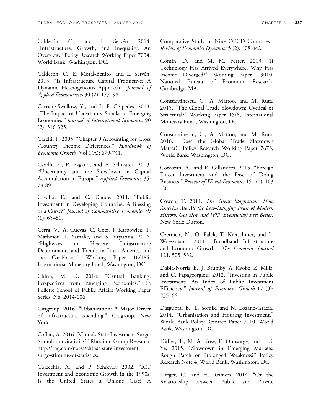Calderón, C., and L. Servén. 2014. "Infrastructure, Growth, and Inequality: An Overview." Policy Research Working Paper 7034. World Bank, Washington, DC.

Calderón, C., E. Moral-Benito, and L. Servén. 2015. "Is Infrastructure Capital Productive? A Dynamic Heterogeneous Approach." *Journal of Applied Econometrics* 30 (2): 177–98.

Carrière-Swallow, Y., and L. F. Céspedes. 2013. "The Impact of Uncertainty Shocks in Emerging Economies." *Journal of International Economics* 90 (2): 316-325.

Caselli, F. 2005. "Chapter 9 Accounting for Cross -Country Income Differences." *Handbook of Economic Growth*, Vol 1(A): 679-741.

Caselli, F., P. Pagano, and F. Schivardi. 2003. "Uncertainty and the Slowdown in Capital Accumulation in Europe." *Applied Economics* 35: 79-89.

Cavallo, E., and C. Daude. 2011. "Public Investment in Developing Countries: A Blessing or a Curse?" *Journal of Comparative Economics* 39 (1): 65–81.

Cerra, V., A. Cuevas, C. Goes, I. Karpowicz, T. Matheson, I. Samake, and S. Vtyurina. 2016. "Highways to Heaven: Infrastructure Determinants and Trends in Latin America and the Caribbean." Working Paper 16/185, International Monetary Fund, Washington, DC.

Chinn, M. D. 2014. "Central Banking: Perspectives from Emerging Economies." La Follette School of Public Affairs Working Paper Series, No. 2014-006.

Citigroup. 2016. "Urbanization: A Major Driver of Infrastructure Spending." Citigroup, New York.

Coflan, A. 2016. "China's State Investment Surge: Stimulus or Statistics?" Rhodium Group Research. http://rhg.com/notes/chinas-state-investmentsurge-stimulus-or-statistics.

Colecchia, A., and P. Schreyer. 2002. "ICT Investment and Economic Growth in the 1990s: Is the United States a Unique Case? A Comparative Study of Nine OECD Countries." *Review of Economics Dynamics* 5 (2): 408-442.

Comin, D., and M. M. Ferrer. 2013. "If Technology Has Arrived Everywhere, Why Has Income Diverged?" Working Paper 19010, National Bureau of Economic Research, Cambridge, MA.

Constantinescu, C., A. Mattoo, and M. Ruta. 2015. "The Global Trade Slowdown: Cyclical or Structural?" Working Paper 15/6, International Monetary Fund, Washington, DC.

Constantinescu, C., A. Mattoo, and M. Ruta. 2016. "Does the Global Trade Slowdown Matter?" Policy Research Working Paper 7673, World Bank, Washington, DC.

Corcoran, A., and R. Gillanders. 2015. "Foreign Direct Investment and the Ease of Doing Business." *Review of World Economics* 151 (1): 103 -26.

Cowen, T. 2011. *The Great Stagnation: How America Ate All the Low-Hanging Fruit of Modern History, Got Sick, and Will (Eventually) Feel Better.* New York: Dutton.

Czernich, N., O. Falck, T. Kretschmer, and L. Woessmann. 2011. "Broadband Infrastructure and Economic Growth." *The Economic Journal* 121: 505–532.

Dabla-Norris, E., J. Brumby, A. Kyobe, Z. Mills, and C. Papageorgiou. 2012. "Investing in Public Investment: An Index of Public Investment Efficiency." *Journal of Economic Growth* 17 (3): 235–66.

Dasgupta, B., L. Somik, and N. Lozano-Gracia. 2014. "Urbanization and Housing Investment." World Bank Policy Research Paper 7110, World Bank, Washington, DC.

Didier, T., M. A. Kose, F. Ohnsorge, and L. S. Ye. 2015. "Slowdown in Emerging Markets: Rough Patch or Prolonged Weakness?" Policy Research Note 4, World Bank, Washington, DC.

Dreger, C., and H. Reimers. 2014. "On the Relationship between Public and Private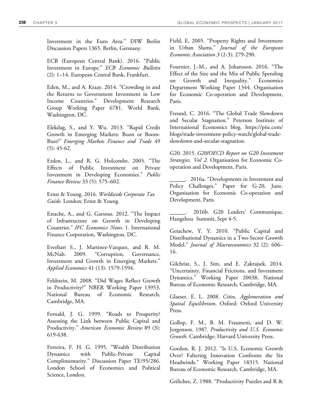Investment in the Euro Area." DIW Berlin Discussion Papers 1365. Berlin, Germany.

ECB (European Central Bank). 2016. "Public Investment in Europe." *ECB Economic Bulletin*  (2): 1–14. European Central Bank, Frankfurt.

Eden, M., and A. Kraay. 2014. "Crowding in and the Returns to Government Investment in Low Income Countries." Development Research Group Working Paper 6781. World Bank, Washington, DC.

Elekdag, S., and Y. Wu. 2013. "Rapid Credit Growth in Emerging Markets: Boon or Boom-Bust?" *Emerging Markets Finance and Trade* 49  $(5): 45-62.$ 

Erden, L., and R. G. Holcombe. 2005. "The Effects of Public Investment on Private Investment in Developing Economies." *Public Finance Review* 33 (5): 575–602.

Ernst & Young. 2016. *Worldwide Corporate Tax Guide.* London: Ernst & Young.

Estache, A., and G. Garsous. 2012. "The Impact of Infrastructure on Growth in Developing Countries." *IFC Economics Notes*. 1. International Finance Corporation, Washington, DC.

Everhart S., J. Martinez-Vazquez, and R. M. McNab. 2009. "Corruption, Governance, Investment and Growth in Emerging Markets." *Applied Economics* 41 (13): 1579-1594.

Feldstein, M. 2008. "Did Wages Reflect Growth in Productivity?" NBER Working Paper 13953, National Bureau of Economic Research, Cambridge, MA.

Fernald, J. G. 1999. "Roads to Prosperity? Assessing the Link between Public Capital and Productivity." *American Economic Review* 89 (3): 619‐638.

Ferreira, F. H. G. 1995. "Wealth Distribution Dynamics with Public-Private Capital Complimentarity." Discussion Paper TE/95/286. London School of Economics and Political Science, London.

Field, E. 2005. "Property Rights and Investment in Urban Slums." *Journal of the European Economic Association 3* (2‐3): 279-290.

Fournier, J.-M., and A. Johansson. 2016. "The Effect of the Size and the Mix of Public Spending on Growth and Inequality." Economics Department Working Paper 1344. Organisation for Economic Co-operation and Development, Paris.

Freund, C. 2016. "The Global Trade Slowdown and Secular Stagnation." Peterson Institute of International Economics blog. https://piie.com/ blogs/trade-investment-policy-watch/global-tradeslowdown-and-secular-stagnation.

G20. 2015. *G20/OECD Report on G20 Investment Strategies. Vol 2.* Organisation for Economic Cooperation and Development, Paris.

\_\_\_\_\_\_. 2016a. "Developments in Investment and Policy Challenges." Paper for G-20, June. Organisation for Economic Co-operation and Development, Paris.

\_\_\_\_\_\_. 2016b. G20 Leaders' Communique, Hangzhou Summit, Sept 4-5.

Getachew, Y. Y. 2010. "Public Capital and Distributional Dynamics in a Two-Sector Growth Model." *Journal of Macroeconomics* 32 (2): 606– 16.

Gilchrist, S., J. Sim, and E. Zakrajsek. 2014. "Uncertainty, Financial Frictions, and Investment Dynamics." Working Paper 20038, National Bureau of Economic Research, Cambridge, MA.

Glaeser, E. L. 2008. *Cities, Agglomeration and Spatial Equilibrium*. Oxford: Oxford University Press.

Gollop, F. M., B. M. Fraumeni, and D. W. Jorgenson. 1987. *Productivity and U.S. Economic Growth.* Cambridge: Harvard University Press.

Gordon, R. J. 2012. "Is U.S. Economic Growth Over? Faltering Innovation Confronts the Six Headwinds." Working Paper 18315. National Bureau of Economic Research, Cambridge, MA.

Griliches, Z. 1988. "Productivity Puzzles and R &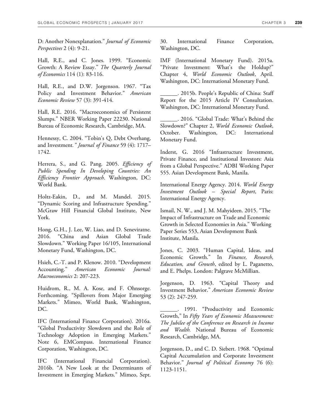D: Another Nonexplanation." *Journal of Economic Perspectives* 2 (4): 9-21.

Hall, R.E., and C. Jones. 1999. "Economic Growth: A Review Essay." *The Quarterly Journal of Economics* 114 (1): 83-116.

Hall, R.E., and D.W. Jorgenson. 1967. "Tax Policy and Investment Behavior." *American Economic Review* 57 (3): 391-414.

Hall, R.E. 2016. "Macroeconomics of Persistent Slumps." NBER Working Paper 22230. National Bureau of Economic Research, Cambridge, MA.

Hennessy, C. 2004. "Tobin's Q, Debt Overhang, and Investment*." Journal of Finance* 59 (4): 1717– 1742.

Herrera, S., and G. Pang. 2005. *Efficiency of Public Spending In Developing Countries: An Efficiency Frontier Approach*. Washington, DC: World Bank.

Holtz-Eakin, D., and M. Mandel. 2015. "Dynamic Scoring and Infrastructure Spending." McGraw Hill Financial Global Institute, New York.

Hong, G.H., J. Lee, W. Liao, and D. Seneviratne. 2016. "China and Asian Global Trade Slowdown." Working Paper 16/105, International Monetary Fund, Washington, DC.

Hsieh, C.‐T. and P. Klenow. 2010. "Development Accounting." *American Economic Journal: Macroeconomics* 2: 207-223.

Huidrom, R., M. A. Kose, and F. Ohnsorge. Forthcoming. "Spillovers from Major Emerging Markets." Mimeo, World Bank, Washington, DC.

IFC (International Finance Corporation). 2016a. "Global Productivity Slowdown and the Role of Technology Adoption in Emerging Markets." Note 6, EMCompass. International Finance Corporation, Washington, DC.

IFC (International Financial Corporation). 2016b. "A New Look at the Determinants of Investment in Emerging Markets." Mimeo, Sept.

30. International Finance Corporation, Washington, DC.

IMF (International Monetary Fund). 2015a. "Private Investment: What's the Holdup?" Chapter 4, *World Economic Outlook*, April. Washington, DC: International Monetary Fund.

\_\_\_\_\_\_. 2015b. People's Republic of China: Staff Report for the 2015 Article IV Consultation. Washington, DC: International Monetary Fund.

\_\_\_\_\_\_. 2016. "Global Trade: What's Behind the Slowdown?" Chapter 2, *World Economic Outlook*, October. Washington, DC: International Monetary Fund.

Inderst, G. 2016 "Infrastructure Investment, Private Finance, and Institutional Investors: Asia from a Global Perspective." ADBI Working Paper 555. Asian Development Bank, Manila.

International Energy Agency. 2014. *World Energy Investment Outlook – Special Report*, Paris: International Energy Agency.

Ismail, N. W., and J. M. Mahyideen. 2015. "The Impact of Infrastructure on Trade and Economic Growth in Selected Economies in Asia." Working Paper Series 553, Asian Development Bank Institute, Manila.

Jones, C. 2003. "Human Capital, Ideas, and Economic Growth." In *Finance, Research, Education, and Growth*, edited by L. Paganetto, and E. Phelps. London: Palgrave McMillian.

Jorgenson, D. 1963. "Capital Theory and Investment Behavior." *American Economic Review*  53 (2): 247-259.

1991. "Productivity and Economic Growth," In *Fifty Years of Economic Measurement: The Jubilee of the Conference on Research in Income and Wealth.* National Bureau of Economic Research, Cambridge, MA.

Jorgenson, D., and C. D. Siebert. 1968. "Optimal Capital Accumulation and Corporate Investment Behavior." *Journal of Political Economy* 76 (6): 1123-1151.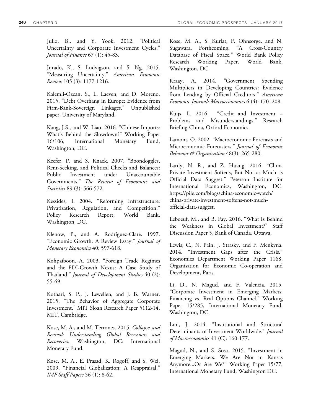Julio, B., and Y. Yook. 2012. "Political Uncertainty and Corporate Investment Cycles." *Journal of Finance* 67 (1): 45‐83.

Jurado, K., S. Ludvigson, and S. Ng. 2015. "Measuring Uncertainty." *American Economic Review* 105 (3): 1177-1216.

Kalemli-Ozcan, S., L. Laeven, and D. Moreno. 2015. "Debt Overhang in Europe: Evidence from Firm-Bank-Sovereign Linkages." Unpublished paper, University of Maryland.

Kang, J.S., and W. Liao. 2016. "Chinese Imports: What's Behind the Slowdown?" Working Paper 16/106, International Monetary Fund, Washington, DC.

Keefer, P. and S. Knack. 2007. "Boondoggles, Rent-Seeking, and Political Checks and Balances: Public Investment under Unaccountable Governments." *The Review of Economics and Statistics* 89 (3): 566-572.

Kessides, I. 2004. "Reforming Infrastructure: Privatization, Regulation, and Competition." Policy Research Report, World Bank, Washington, DC.

Klenow, P., and A. Rodríguez-Clare. 1997. "Economic Growth: A Review Essay." *Journal of Monetary Economics* 40: 597-618.

Kohpaiboon, A. 2003. "Foreign Trade Regimes and the FDI-Growth Nexus: A Case Study of Thailand." *Journal of Development Studies* 40 (2): 55-69.

Kothari, S. P., J. Lewellen, and J. B. Warner. 2015. "The Behavior of Aggregate Corporate Investment." MIT Sloan Research Paper 5112-14, MIT, Cambridge.

Kose, M. A., and M. Terrones. 2015. *Collapse and Revival: Understanding Global Recessions and Recoveries.* Washington, DC: International Monetary Fund.

Kose, M. A., E. Prasad, K. Rogoff, and S. Wei. 2009. "Financial Globalization: A Reappraisal." *IMF Staff Papers* 56 (1): 8-62.

Kose, M. A., S. Kurlat, F. Ohnsorge, and N. Sugawara. Forthcoming. "A Cross-Country Database of Fiscal Space." World Bank Policy Research Working Paper. World Bank, Washington, DC.

Kraay, A. 2014. "Government Spending Multipliers in Developing Countries: Evidence from Lending by Official Creditors." *American Economic Journal: Macroeconomics* 6 (4): 170–208.

Kuijs, L. 2016. "Credit and Investment – Problems and Misunderstandings." Research Briefing-China, Oxford Economics.

Lamont, O. 2002. "Macroeconomic Forecasts and Microeconomic Forecasters." *Journal of Economic Behavior & Organization* 48(3): 265-280.

Lardy, N. R., and Z. Huang. 2016. "China Private Investment Softens, But Not as Much as Official Data Suggest." Peterson Institute for International Economics, Washington, DC. https://piie.com/blogs/china-economic-watch/ china-private-investment-softens-not-muchofficial-data-suggest.

Leboeuf, M., and B. Fay. 2016. "What Is Behind the Weakness in Global Investment?" Staff Discussion Paper 5, Bank of Canada, Ottawa.

Lewis, C., N. Pain, J. Strasky, and F. Menkyna. 2014. "Investment Gaps after the Crisis." Economics Department Working Paper 1168, Organisation for Economic Co-operation and Development, Paris.

Li, D., N. Magud, and F. Valencia. 2015. "Corporate Investment in Emerging Markets: Financing vs. Real Options Channel." Working Paper 15/285, International Monetary Fund, Washington, DC.

Lim, J. 2014. "Institutional and Structural Determinants of Investment Worldwide." *Journal of Macroeconomics* 41 (C): 160-177.

Magud, N., and S. Sosa. 2015. "Investment in Emerging Markets. We Are Not in Kansas Anymore...Or Are We?" Working Paper 15/77, International Monetary Fund, Washington DC.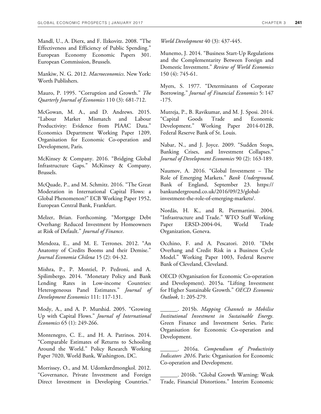Mandl, U., A. Dierx, and F. Ilzkovitz. 2008. "The Effectiveness and Efficiency of Public Spending." European Economy Economic Papers 301. European Commission, Brussels.

Mankiw, N. G. 2012. *Macroeconomics*. New York: Worth Publishers.

Mauro, P. 1995. "Corruption and Growth." *The Quarterly Journal of Economics* 110 (3): 681‐712.

McGowan, M. A., and D. Andrews. 2015. "Labour Market Mismatch and Labour Productivity: Evidence from PIAAC Data." Economics Department Working Paper 1209, Organisation for Economic Co-operation and Development, Paris.

McKinsey & Company. 2016. "Bridging Global Infrastructure Gaps." McKinsey & Company, Brussels.

McQuade, P., and M. Schmitz. 2016. "The Great Moderation in International Capital Flows: a Global Phenomenon?" ECB Working Paper 1952, European Central Bank, Frankfurt.

Melzer, Brian. Forthcoming. "Mortgage Debt Overhang: Reduced Investment by Homeowners at Risk of Default." *Journal of Finance*.

Mendoza, E., and M. E. Terrones. 2012. "An Anatomy of Credits Booms and their Demise." *Journal Economia Chilena* 15 (2): 04-32.

Mishra, P., P. Montiel, P. Pedroni, and A. Spilimbergo. 2014. "Monetary Policy and Bank Lending Rates in Low-income Countries: Heterogeneous Panel Estimates." *Journal of Development Economics* 111: 117-131.

Mody, A., and A. P. Murshid. 2005. "Growing Up with Capital Flows." *Journal of International Economics* 65 (1): 249-266.

Montenegro, C. E., and H. A. Patrinos. 2014. "Comparable Estimates of Returns to Schooling Around the World." Policy Research Working Paper 7020, World Bank, Washington, DC.

Morrissey, O., and M. Udomkerdmongkol. 2012. "Governance, Private Investment and Foreign Direct Investment in Developing Countries."

*World Development* 40 (3): 437-445.

Munemo, J. 2014. "Business Start-Up Regulations and the Complementarity Between Foreign and Domestic Investment." *Review of World Economics* 150 (4): 745-61.

Myers, S. 1977. "Determinants of Corporate Borrowing." *Journal of Financial Economics* 5: 147 -175.

Mutreja, P., B. Ravikumar, and M. J. Sposi. 2014. "Capital Goods Trade and Economic Development." Working Paper 2014-012B, Federal Reserve Bank of St. Louis.

Nabar, N., and J. Joyce. 2009. "Sudden Stops, Banking Crises, and Investment Collapses." *Journal of Development Economies* 90 (2): 163-189.

Naumov, A. 2016. "Global Investment – The Role of Emerging Markets." *Bank Underground*, Bank of England, September 23. https:// bankunderground.co.uk/2016/09/23/globalinvestment-the-role-of-emerging-markets/.

Nordås, H. K., and R. Piermartini. 2004. "Infrastructure and Trade." WTO Staff Working Paper ERSD-2004-04, World Trade Organization, Geneva.

Occhino, F. and A. Pescatori. 2010. "Debt Overhang and Credit Risk in a Business Cycle Model." Working Paper 1003, Federal Reserve Bank of Cleveland, Cleveland.

OECD (Organisation for Economic Co-operation and Development). 2015a. "Lifting Investment for Higher Sustainable Growth." *OECD Economic Outlook*, 1: 205-279.

\_\_\_\_\_\_. 2015b. *Mapping Channels to Mobilise Institutional Investment in Sustainable Energy*. Green Finance and Investment Series. Paris: Organisation for Economic Co-operation and Development.

\_\_\_\_\_\_. 2016a. *Compendium of Productivity Indicators 2016*. Paris: Organisation for Economic Co-operation and Development.

\_\_\_\_\_\_. 2016b. "Global Growth Warning: Weak Trade, Financial Distortions." Interim Economic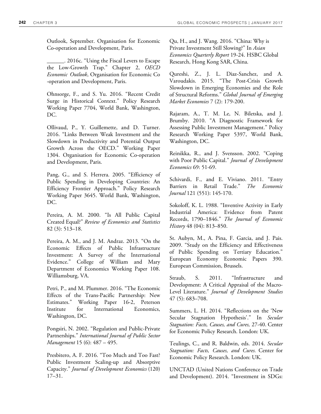Outlook, September. Organisation for Economic Co-operation and Development, Paris.

\_\_\_\_\_\_. 2016c. "Using the Fiscal Levers to Escape the Low-Growth Trap." Chapter 2, *OECD Economic Outlook*, Organisation for Economic Co -operation and Development, Paris.

Ohnsorge, F., and S. Yu. 2016. "Recent Credit Surge in Historical Context." Policy Research Working Paper 7704, World Bank, Washington, DC.

Ollivaud, P., Y. Guillemette, and D. Turner. 2016. "Links Between Weak Investment and the Slowdown in Productivity and Potential Output Growth Across the OECD." Working Paper 1304. Organisation for Economic Co-operation and Development, Paris.

Pang, G., and S. Herrera. 2005. "Efficiency of Public Spending in Developing Countries: An Efficiency Frontier Approach." Policy Research Working Paper 3645. World Bank, Washington, DC.

Pereira, A. M. 2000. "Is All Public Capital Created Equal?" *Review of Economics and Statistics* 82 (3): 513–18.

Pereira, A. M., and J. M. Andraz. 2013. "On the Economic Effects of Public Infrastructure Investment: A Survey of the International Evidence." College of William and Mary Department of Economics Working Paper 108. Williamsburg, VA.

Petri, P., and M. Plummer. 2016. "The Economic Effects of the Trans-Pacific Partnership: New Estimates." Working Paper 16-2, Peterson Institute for International Economics, Washington, DC.

Pongsiri, N. 2002. "Regulation and Public‐Private Partnerships." *International Journal of Public Sector Management* 15 (6): 487 – 495.

Presbitero, A. F. 2016. "Too Much and Too Fast? Public Investment Scaling-up and Absorptive Capacity." *Journal of Development Economics* (120) 17–31.

Qu, H., and J. Wang. 2016. "China: Why is Private Investment Still Slowing?" In *Asian Economics Quarterly Report* 19-24. HSBC Global Research, Hong Kong SAR, China.

Qureshi, Z., J. L. Diaz‐Sanchez, and A. Varoudakis. 2015. "The Post‐Crisis Growth Slowdown in Emerging Economies and the Role of Structural Reforms." *Global Journal of Emerging Market Economies* 7 (2): 179-200.

Rajaram, A., T. M. Le, N. Biletska, and J. Brumby. 2010. "A Diagnostic Framework for Assessing Public Investment Management." Policy Research Working Paper 5397, World Bank, Washington, DC.

Reinikka, R., and J. Svensson. 2002. "Coping with Poor Public Capital." *Journal of Development Economics* 69: 51-69.

Schivardi, F., and E. Viviano. 2011. "Entry Barriers in Retail Trade." *The Economic Journal* 121 (551): 145-170.

Sokoloff, K. L. 1988. "Inventive Activity in Early Industrial America: Evidence from Patent Records, 1790–1846." *The Journal of Economic History* 48 (04): 813–850.

St. Aubyn, M., A. Pina, F. Garcia, and J. Pais. 2009. "Study on the Efficiency and Effectiveness of Public Spending on Tertiary Education." European Economy Economic Papers 390. European Commission, Brussels.

Straub, S. 2011. "Infrastructure and Development: A Critical Appraisal of the Macro-Level Literature." *Journal of Development Studies* 47 (5): 683–708.

Summers, L. H. 2014. "Reflections on the 'New Secular Stagnation Hypothesis'." In *Secular Stagnation: Facts, Causes, and Cures,* 27-40. Center for Economic Policy Research. London: UK.

Teulings, C., and R. Baldwin, eds. 2014. *Secular Stagnation: Facts, Causes, and Cures.* Center for Economic Policy Research. London: UK.

UNCTAD (United Nations Conference on Trade and Development). 2014. "Investment in SDGs: